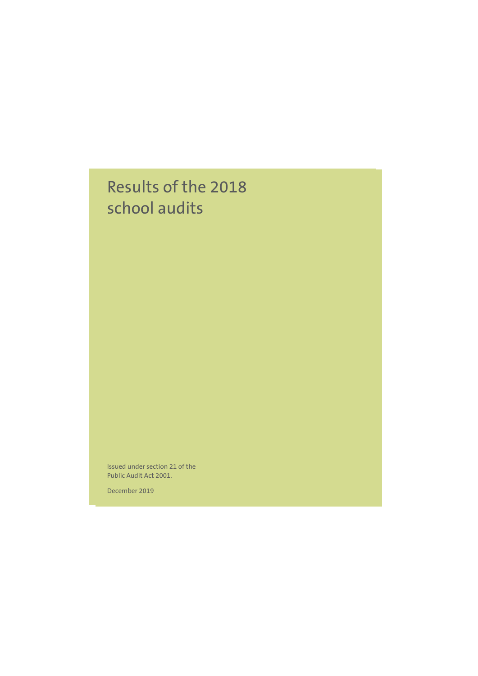# Results of the 2018 school audits

Issued under section 21 of the Public Audit Act 2001.

Month Year ISBN 0-478-181x-x and the state of the state of the state of the state of the state of the state of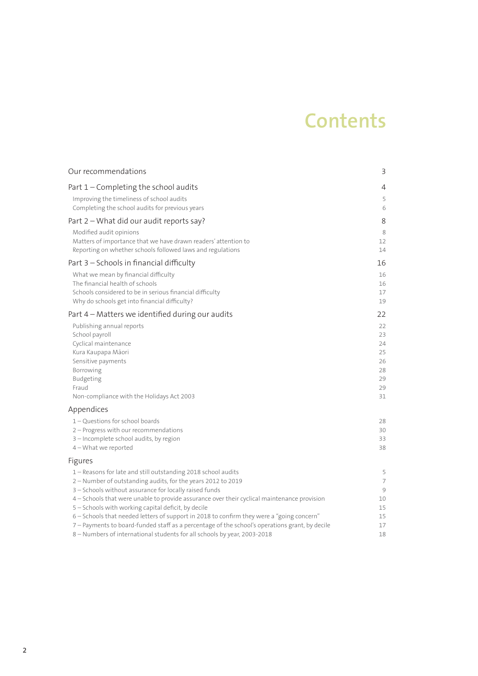# **Contents**

| Our recommendations                                                                                                                                                                                                                                                                                                                                                                                                                                                                                                                                                                                                                 | 3                                                                          |
|-------------------------------------------------------------------------------------------------------------------------------------------------------------------------------------------------------------------------------------------------------------------------------------------------------------------------------------------------------------------------------------------------------------------------------------------------------------------------------------------------------------------------------------------------------------------------------------------------------------------------------------|----------------------------------------------------------------------------|
| Part 1 – Completing the school audits                                                                                                                                                                                                                                                                                                                                                                                                                                                                                                                                                                                               | 4                                                                          |
| Improving the timeliness of school audits<br>Completing the school audits for previous years                                                                                                                                                                                                                                                                                                                                                                                                                                                                                                                                        | 5<br>6                                                                     |
| Part 2 – What did our audit reports say?                                                                                                                                                                                                                                                                                                                                                                                                                                                                                                                                                                                            | 8                                                                          |
| Modified audit opinions<br>Matters of importance that we have drawn readers' attention to<br>Reporting on whether schools followed laws and regulations                                                                                                                                                                                                                                                                                                                                                                                                                                                                             | 8<br>12<br>14                                                              |
| Part 3 - Schools in financial difficulty                                                                                                                                                                                                                                                                                                                                                                                                                                                                                                                                                                                            | 16                                                                         |
| What we mean by financial difficulty<br>The financial health of schools<br>Schools considered to be in serious financial difficulty<br>Why do schools get into financial difficulty?                                                                                                                                                                                                                                                                                                                                                                                                                                                | 16<br>16<br>17<br>19                                                       |
| Part 4 – Matters we identified during our audits                                                                                                                                                                                                                                                                                                                                                                                                                                                                                                                                                                                    | 22                                                                         |
| Publishing annual reports<br>School payroll<br>Cyclical maintenance<br>Kura Kaupapa Māori<br>Sensitive payments<br>Borrowing<br>Budgeting<br>Fraud<br>Non-compliance with the Holidays Act 2003<br>Appendices<br>$1 -$ Questions for school boards<br>2 – Progress with our recommendations<br>3 - Incomplete school audits, by region<br>$4 - What$ we reported                                                                                                                                                                                                                                                                    | 22<br>23<br>24<br>25<br>26<br>28<br>29<br>29<br>31<br>28<br>30<br>33<br>38 |
| Figures<br>1 – Reasons for late and still outstanding 2018 school audits<br>2 - Number of outstanding audits, for the years 2012 to 2019<br>3 - Schools without assurance for locally raised funds<br>4 - Schools that were unable to provide assurance over their cyclical maintenance provision<br>5 - Schools with working capital deficit, by decile<br>6 - Schools that needed letters of support in 2018 to confirm they were a "going concern"<br>7 - Payments to board-funded staff as a percentage of the school's operations grant, by decile<br>8 - Numbers of international students for all schools by year, 2003-2018 | 5<br>7<br>9<br>10<br>15<br>15<br>17<br>18                                  |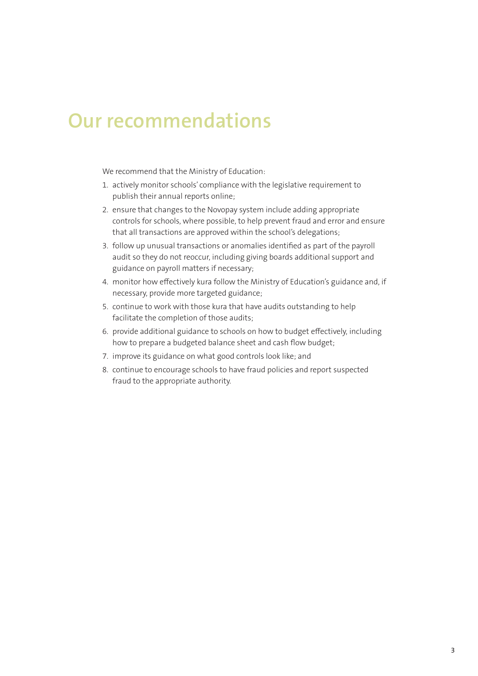# **Our recommendations**

We recommend that the Ministry of Education:

- 1. actively monitor schools' compliance with the legislative requirement to publish their annual reports online;
- 2. ensure that changes to the Novopay system include adding appropriate controls for schools, where possible, to help prevent fraud and error and ensure that all transactions are approved within the school's delegations;
- 3. follow up unusual transactions or anomalies identified as part of the payroll audit so they do not reoccur, including giving boards additional support and guidance on payroll matters if necessary;
- 4. monitor how effectively kura follow the Ministry of Education's guidance and, if necessary, provide more targeted guidance;
- 5. continue to work with those kura that have audits outstanding to help facilitate the completion of those audits;
- 6. provide additional guidance to schools on how to budget effectively, including how to prepare a budgeted balance sheet and cash flow budget;
- 7. improve its guidance on what good controls look like; and
- 8. continue to encourage schools to have fraud policies and report suspected fraud to the appropriate authority.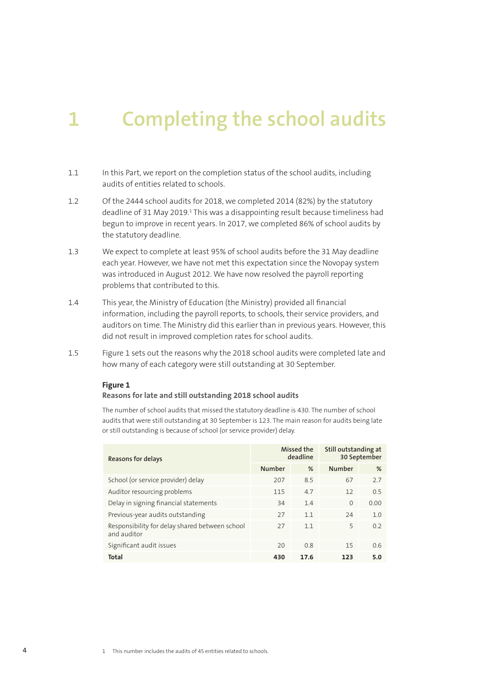# **1 Completing the school audits**

- 1.1 In this Part, we report on the completion status of the school audits, including audits of entities related to schools.
- 1.2 Of the 2444 school audits for 2018, we completed 2014 (82%) by the statutory deadline of 31 May 2019.<sup>1</sup> This was a disappointing result because timeliness had begun to improve in recent years. In 2017, we completed 86% of school audits by the statutory deadline.
- 1.3 We expect to complete at least 95% of school audits before the 31 May deadline each year. However, we have not met this expectation since the Novopay system was introduced in August 2012. We have now resolved the payroll reporting problems that contributed to this.
- 1.4 This year, the Ministry of Education (the Ministry) provided all financial information, including the payroll reports, to schools, their service providers, and auditors on time. The Ministry did this earlier than in previous years. However, this did not result in improved completion rates for school audits.
- 1.5 Figure 1 sets out the reasons why the 2018 school audits were completed late and how many of each category were still outstanding at 30 September.

### **Figure 1**

#### **Reasons for late and still outstanding 2018 school audits**

The number of school audits that missed the statutory deadline is 430. The number of school audits that were still outstanding at 30 September is 123. The main reason for audits being late or still outstanding is because of school (or service provider) delay.

| Reasons for delays                                            | Missed the<br>deadline |      | Still outstanding at<br>30 September |      |
|---------------------------------------------------------------|------------------------|------|--------------------------------------|------|
|                                                               | <b>Number</b>          | %    | <b>Number</b>                        | %    |
| School (or service provider) delay                            | 207                    | 8.5  | 67                                   | 2.7  |
| Auditor resourcing problems                                   | 115                    | 4.7  | 12                                   | 0.5  |
| Delay in signing financial statements                         | 34                     | 1.4  | $\Omega$                             | 0.00 |
| Previous-year audits outstanding                              | 27                     | 11   | 74                                   | 1.0  |
| Responsibility for delay shared between school<br>and auditor | 27                     | 1.1  | 5                                    | 0.2  |
| Significant audit issues                                      | 20                     | 0.8  | 15                                   | 0.6  |
| <b>Total</b>                                                  | 430                    | 17.6 | 123                                  | 5.0  |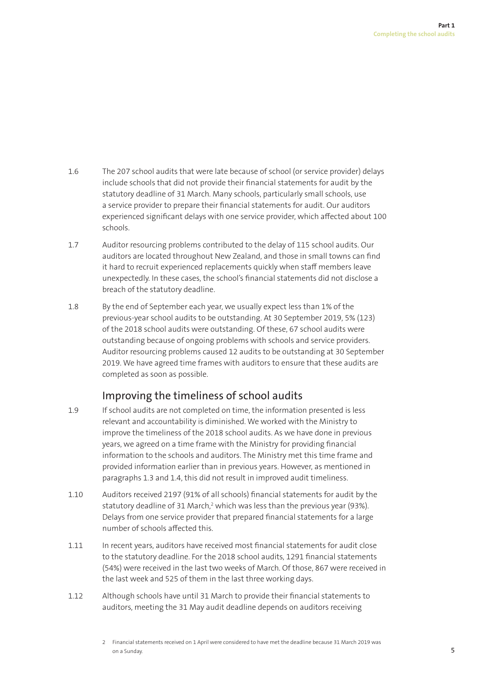- 1.6 The 207 school audits that were late because of school (or service provider) delays include schools that did not provide their financial statements for audit by the statutory deadline of 31 March. Many schools, particularly small schools, use a service provider to prepare their financial statements for audit. Our auditors experienced significant delays with one service provider, which affected about 100 schools.
- 1.7 Auditor resourcing problems contributed to the delay of 115 school audits. Our auditors are located throughout New Zealand, and those in small towns can find it hard to recruit experienced replacements quickly when staff members leave unexpectedly. In these cases, the school's financial statements did not disclose a breach of the statutory deadline.
- 1.8 By the end of September each year, we usually expect less than 1% of the previous-year school audits to be outstanding. At 30 September 2019, 5% (123) of the 2018 school audits were outstanding. Of these, 67 school audits were outstanding because of ongoing problems with schools and service providers. Auditor resourcing problems caused 12 audits to be outstanding at 30 September 2019. We have agreed time frames with auditors to ensure that these audits are completed as soon as possible.

# Improving the timeliness of school audits

- 1.9 If school audits are not completed on time, the information presented is less relevant and accountability is diminished. We worked with the Ministry to improve the timeliness of the 2018 school audits. As we have done in previous years, we agreed on a time frame with the Ministry for providing financial information to the schools and auditors. The Ministry met this time frame and provided information earlier than in previous years. However, as mentioned in paragraphs 1.3 and 1.4, this did not result in improved audit timeliness.
- 1.10 Auditors received 2197 (91% of all schools) financial statements for audit by the statutory deadline of 31 March,<sup>2</sup> which was less than the previous year (93%). Delays from one service provider that prepared financial statements for a large number of schools affected this.
- 1.11 In recent years, auditors have received most financial statements for audit close to the statutory deadline. For the 2018 school audits, 1291 financial statements (54%) were received in the last two weeks of March. Of those, 867 were received in the last week and 525 of them in the last three working days.
- 1.12 Although schools have until 31 March to provide their financial statements to auditors, meeting the 31 May audit deadline depends on auditors receiving

<sup>2</sup> Financial statements received on 1 April were considered to have met the deadline because 31 March 2019 was on a Sunday.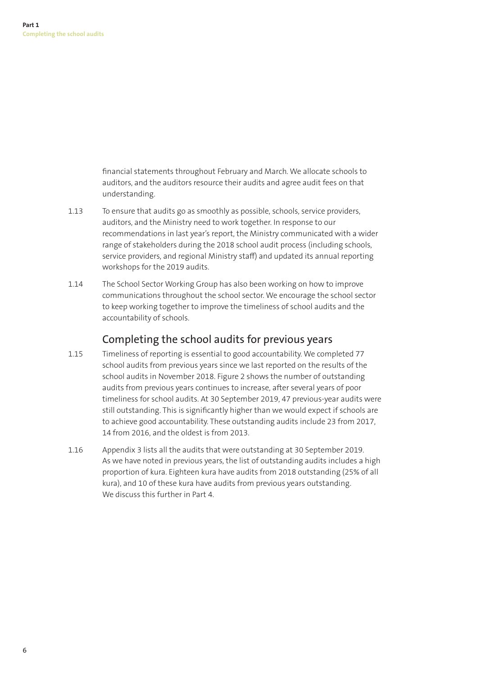financial statements throughout February and March. We allocate schools to auditors, and the auditors resource their audits and agree audit fees on that understanding.

- 1.13 To ensure that audits go as smoothly as possible, schools, service providers, auditors, and the Ministry need to work together. In response to our recommendations in last year's report, the Ministry communicated with a wider range of stakeholders during the 2018 school audit process (including schools, service providers, and regional Ministry staff) and updated its annual reporting workshops for the 2019 audits.
- 1.14 The School Sector Working Group has also been working on how to improve communications throughout the school sector. We encourage the school sector to keep working together to improve the timeliness of school audits and the accountability of schools.

# Completing the school audits for previous years

- 1.15 Timeliness of reporting is essential to good accountability. We completed 77 school audits from previous years since we last reported on the results of the school audits in November 2018. Figure 2 shows the number of outstanding audits from previous years continues to increase, after several years of poor timeliness for school audits. At 30 September 2019, 47 previous-year audits were still outstanding. This is significantly higher than we would expect if schools are to achieve good accountability. These outstanding audits include 23 from 2017, 14 from 2016, and the oldest is from 2013.
- 1.16 Appendix 3 lists all the audits that were outstanding at 30 September 2019. As we have noted in previous years, the list of outstanding audits includes a high proportion of kura. Eighteen kura have audits from 2018 outstanding (25% of all kura), and 10 of these kura have audits from previous years outstanding. We discuss this further in Part 4.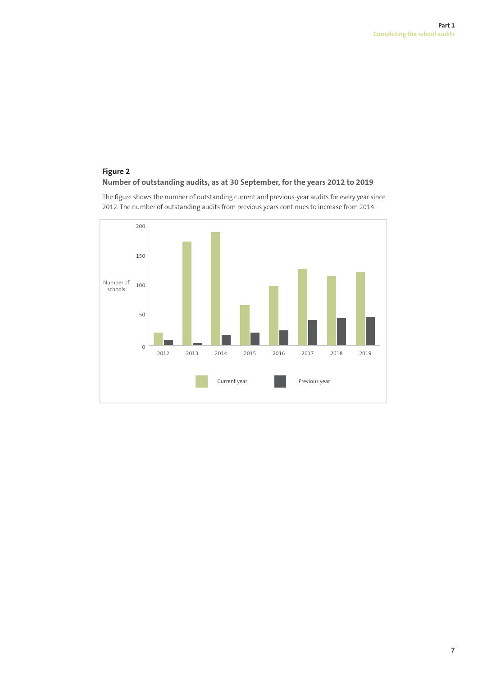### **Figure 2 Number of outstanding audits, as at 30 September, for the years 2012 to 2019**

The figure shows the number of outstanding current and previous-year audits for every year since 2012. The number of outstanding audits from previous years continues to increase from 2014.

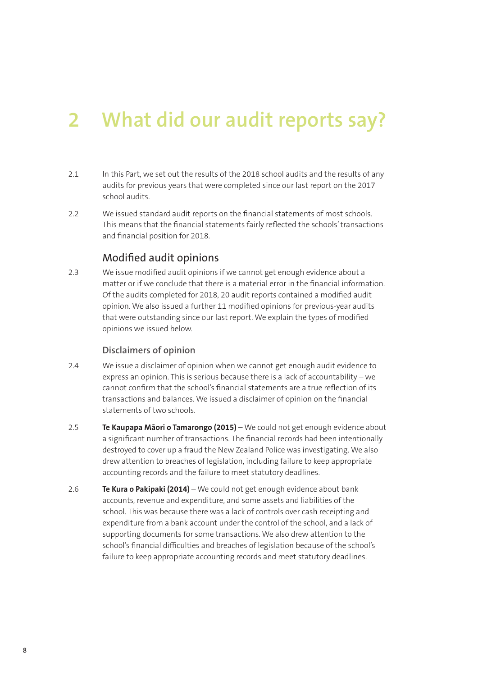# **2 What did our audit reports say?**

- 2.1 In this Part, we set out the results of the 2018 school audits and the results of any audits for previous years that were completed since our last report on the 2017 school audits.
- 2.2 We issued standard audit reports on the financial statements of most schools. This means that the financial statements fairly reflected the schools' transactions and financial position for 2018.

# Modified audit opinions

2.3 We issue modified audit opinions if we cannot get enough evidence about a matter or if we conclude that there is a material error in the financial information. Of the audits completed for 2018, 20 audit reports contained a modified audit opinion. We also issued a further 11 modified opinions for previous-year audits that were outstanding since our last report. We explain the types of modified opinions we issued below.

### **Disclaimers of opinion**

- 2.4 We issue a disclaimer of opinion when we cannot get enough audit evidence to express an opinion. This is serious because there is a lack of accountability – we cannot confirm that the school's financial statements are a true reflection of its transactions and balances. We issued a disclaimer of opinion on the financial statements of two schools.
- 2.5 **Te Kaupapa Māori o Tamarongo (2015)**  We could not get enough evidence about a significant number of transactions. The financial records had been intentionally destroyed to cover up a fraud the New Zealand Police was investigating. We also drew attention to breaches of legislation, including failure to keep appropriate accounting records and the failure to meet statutory deadlines.
- 2.6 **Te Kura o Pakipaki (2014)** We could not get enough evidence about bank accounts, revenue and expenditure, and some assets and liabilities of the school. This was because there was a lack of controls over cash receipting and expenditure from a bank account under the control of the school, and a lack of supporting documents for some transactions. We also drew attention to the school's financial difficulties and breaches of legislation because of the school's failure to keep appropriate accounting records and meet statutory deadlines.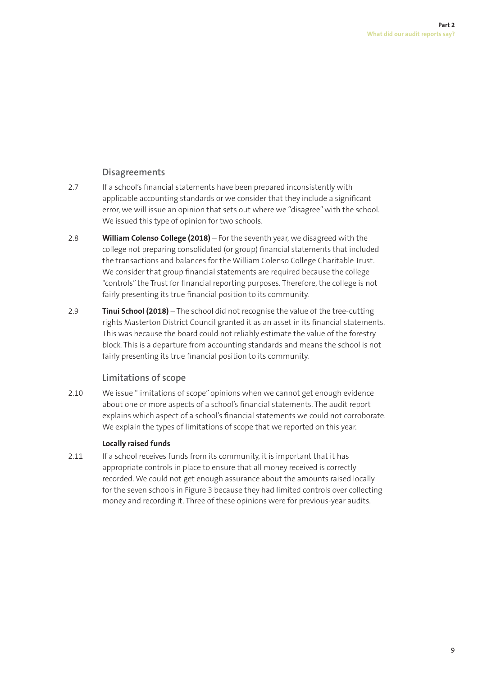### **Disagreements**

- 2.7 If a school's financial statements have been prepared inconsistently with applicable accounting standards or we consider that they include a significant error, we will issue an opinion that sets out where we "disagree" with the school. We issued this type of opinion for two schools.
- 2.8 **William Colenso College (2018)**  For the seventh year, we disagreed with the college not preparing consolidated (or group) financial statements that included the transactions and balances for the William Colenso College Charitable Trust. We consider that group financial statements are required because the college "controls" the Trust for financial reporting purposes. Therefore, the college is not fairly presenting its true financial position to its community.
- 2.9 **Tinui School (2018)**  The school did not recognise the value of the tree-cutting rights Masterton District Council granted it as an asset in its financial statements. This was because the board could not reliably estimate the value of the forestry block. This is a departure from accounting standards and means the school is not fairly presenting its true financial position to its community.

### **Limitations of scope**

2.10 We issue "limitations of scope" opinions when we cannot get enough evidence about one or more aspects of a school's financial statements. The audit report explains which aspect of a school's financial statements we could not corroborate. We explain the types of limitations of scope that we reported on this year.

### **Locally raised funds**

2.11 If a school receives funds from its community, it is important that it has appropriate controls in place to ensure that all money received is correctly recorded. We could not get enough assurance about the amounts raised locally for the seven schools in Figure 3 because they had limited controls over collecting money and recording it. Three of these opinions were for previous-year audits.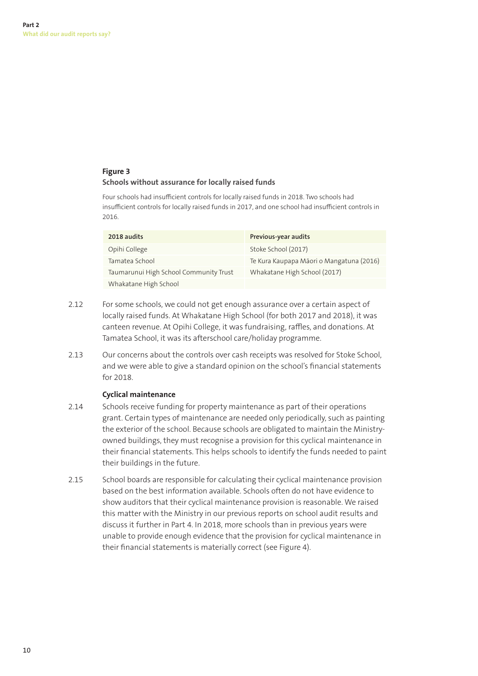### **Figure 3 Schools without assurance for locally raised funds**

Four schools had insufficient controls for locally raised funds in 2018. Two schools had insufficient controls for locally raised funds in 2017, and one school had insufficient controls in 2016.

| 2018 audits                            | Previous-year audits                     |
|----------------------------------------|------------------------------------------|
| Opihi College                          | Stoke School (2017)                      |
| Tamatea School                         | Te Kura Kaupapa Māori o Mangatuna (2016) |
| Taumarunui High School Community Trust | Whakatane High School (2017)             |
| Whakatane High School                  |                                          |

- 2.12 For some schools, we could not get enough assurance over a certain aspect of locally raised funds. At Whakatane High School (for both 2017 and 2018), it was canteen revenue. At Opihi College, it was fundraising, raffles, and donations. At Tamatea School, it was its afterschool care/holiday programme.
- 2.13 Our concerns about the controls over cash receipts was resolved for Stoke School, and we were able to give a standard opinion on the school's financial statements for 2018.

### **Cyclical maintenance**

- 2.14 Schools receive funding for property maintenance as part of their operations grant. Certain types of maintenance are needed only periodically, such as painting the exterior of the school. Because schools are obligated to maintain the Ministryowned buildings, they must recognise a provision for this cyclical maintenance in their financial statements. This helps schools to identify the funds needed to paint their buildings in the future.
- 2.15 School boards are responsible for calculating their cyclical maintenance provision based on the best information available. Schools often do not have evidence to show auditors that their cyclical maintenance provision is reasonable. We raised this matter with the Ministry in our previous reports on school audit results and discuss it further in Part 4. In 2018, more schools than in previous years were unable to provide enough evidence that the provision for cyclical maintenance in their financial statements is materially correct (see Figure 4).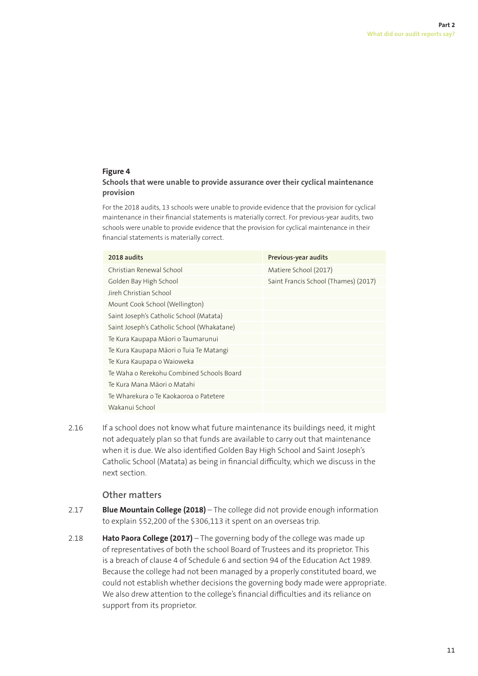### **Figure 4**

### **Schools that were unable to provide assurance over their cyclical maintenance provision**

For the 2018 audits, 13 schools were unable to provide evidence that the provision for cyclical maintenance in their financial statements is materially correct. For previous-year audits, two schools were unable to provide evidence that the provision for cyclical maintenance in their financial statements is materially correct.

| 2018 audits                                | Previous-year audits                 |
|--------------------------------------------|--------------------------------------|
| Christian Renewal School                   | Matiere School (2017)                |
| Golden Bay High School                     | Saint Francis School (Thames) (2017) |
| Jireh Christian School                     |                                      |
| Mount Cook School (Wellington)             |                                      |
| Saint Joseph's Catholic School (Matata)    |                                      |
| Saint Joseph's Catholic School (Whakatane) |                                      |
| Te Kura Kaupapa Māori o Taumarunui         |                                      |
| Te Kura Kaupapa Māori o Tuia Te Matangi    |                                      |
| Te Kura Kaupapa o Waioweka                 |                                      |
| Te Waha o Rerekohu Combined Schools Board  |                                      |
| Te Kura Mana Māori o Matahi                |                                      |
| Te Wharekura o Te Kaokaoroa o Patetere     |                                      |
| Wakanui School                             |                                      |

2.16 If a school does not know what future maintenance its buildings need, it might not adequately plan so that funds are available to carry out that maintenance when it is due. We also identified Golden Bay High School and Saint Joseph's Catholic School (Matata) as being in financial difficulty, which we discuss in the next section.

### **Other matters**

- 2.17 **Blue Mountain College (2018)**  The college did not provide enough information to explain \$52,200 of the \$306,113 it spent on an overseas trip.
- 2.18 **Hato Paora College (2017)**  The governing body of the college was made up of representatives of both the school Board of Trustees and its proprietor. This is a breach of clause 4 of Schedule 6 and section 94 of the Education Act 1989. Because the college had not been managed by a properly constituted board, we could not establish whether decisions the governing body made were appropriate. We also drew attention to the college's financial difficulties and its reliance on support from its proprietor.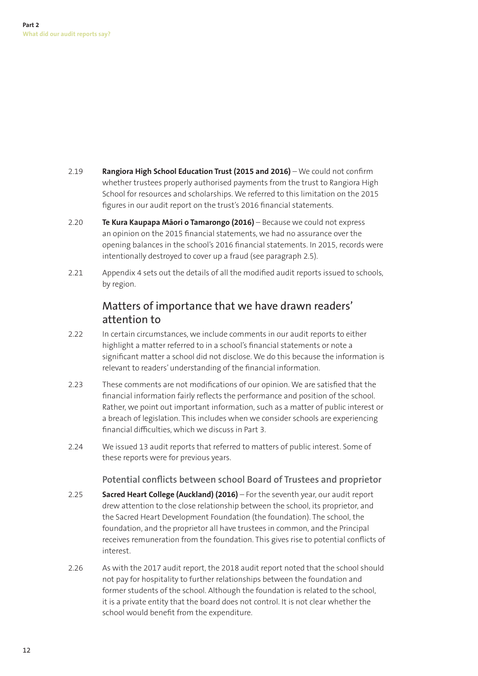2.19 **Rangiora High School Education Trust (2015 and 2016)** – We could not confirm whether trustees properly authorised payments from the trust to Rangiora High School for resources and scholarships. We referred to this limitation on the 2015 figures in our audit report on the trust's 2016 financial statements.

- 2.20 **Te Kura Kaupapa Māori o Tamarongo (2016)**  Because we could not express an opinion on the 2015 financial statements, we had no assurance over the opening balances in the school's 2016 financial statements. In 2015, records were intentionally destroyed to cover up a fraud (see paragraph 2.5).
- 2.21 Appendix 4 sets out the details of all the modified audit reports issued to schools, by region.

# Matters of importance that we have drawn readers' attention to

- 2.22 In certain circumstances, we include comments in our audit reports to either highlight a matter referred to in a school's financial statements or note a significant matter a school did not disclose. We do this because the information is relevant to readers' understanding of the financial information.
- 2.23 These comments are not modifications of our opinion. We are satisfied that the financial information fairly reflects the performance and position of the school. Rather, we point out important information, such as a matter of public interest or a breach of legislation. This includes when we consider schools are experiencing financial difficulties, which we discuss in Part 3.
- 2.24 We issued 13 audit reports that referred to matters of public interest. Some of these reports were for previous years.

### Potential conflicts between school Board of Trustees and proprietor

- 2.25 **Sacred Heart College (Auckland) (2016)**  For the seventh year, our audit report drew attention to the close relationship between the school, its proprietor, and the Sacred Heart Development Foundation (the foundation). The school, the foundation, and the proprietor all have trustees in common, and the Principal receives remuneration from the foundation. This gives rise to potential conflicts of interest.
- 2.26 As with the 2017 audit report, the 2018 audit report noted that the school should not pay for hospitality to further relationships between the foundation and former students of the school. Although the foundation is related to the school, it is a private entity that the board does not control. It is not clear whether the school would benefit from the expenditure.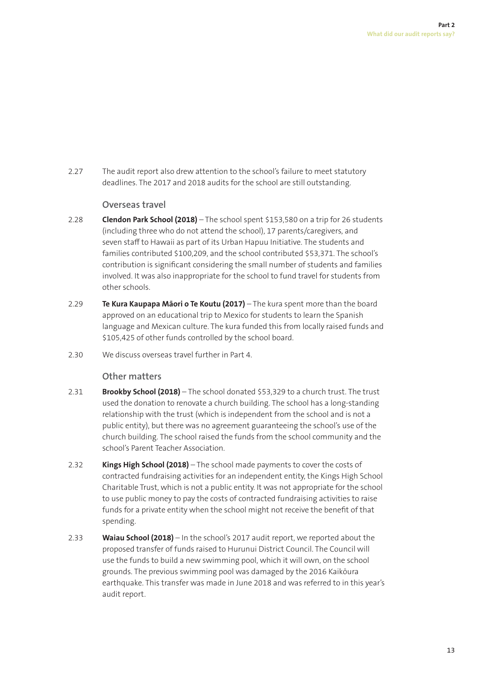2.27 The audit report also drew attention to the school's failure to meet statutory deadlines. The 2017 and 2018 audits for the school are still outstanding.

### **Overseas travel**

- 2.28 **Clendon Park School (2018)**  The school spent \$153,580 on a trip for 26 students (including three who do not attend the school), 17 parents/caregivers, and seven staff to Hawaii as part of its Urban Hapuu Initiative. The students and families contributed \$100,209, and the school contributed \$53,371. The school's contribution is significant considering the small number of students and families involved. It was also inappropriate for the school to fund travel for students from other schools.
- 2.29 **Te Kura Kaupapa Māori o Te Koutu (2017)** The kura spent more than the board approved on an educational trip to Mexico for students to learn the Spanish language and Mexican culture. The kura funded this from locally raised funds and \$105,425 of other funds controlled by the school board.
- 2.30 We discuss overseas travel further in Part 4.

### **Other matters**

- 2.31 **Brookby School (2018)** The school donated \$53,329 to a church trust. The trust used the donation to renovate a church building. The school has a long-standing relationship with the trust (which is independent from the school and is not a public entity), but there was no agreement guaranteeing the school's use of the church building. The school raised the funds from the school community and the school's Parent Teacher Association.
- 2.32 **Kings High School (2018)** The school made payments to cover the costs of contracted fundraising activities for an independent entity, the Kings High School Charitable Trust, which is not a public entity. It was not appropriate for the school to use public money to pay the costs of contracted fundraising activities to raise funds for a private entity when the school might not receive the benefit of that spending.
- 2.33 **Waiau School (2018)** In the school's 2017 audit report, we reported about the proposed transfer of funds raised to Hurunui District Council. The Council will use the funds to build a new swimming pool, which it will own, on the school grounds. The previous swimming pool was damaged by the 2016 Kaikōura earthquake. This transfer was made in June 2018 and was referred to in this year's audit report.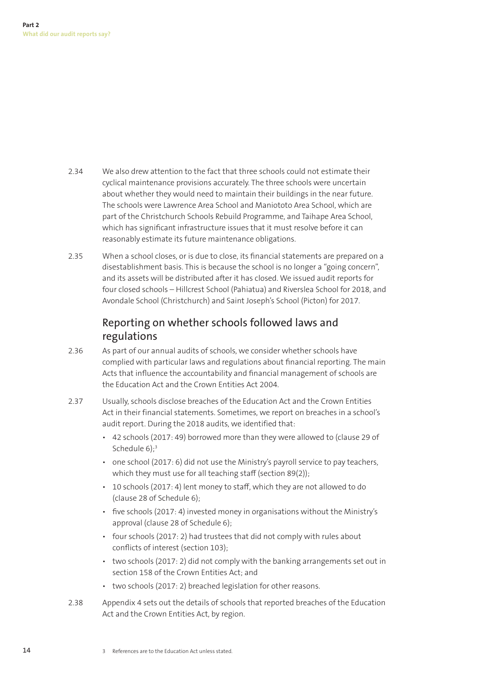- 2.34 We also drew attention to the fact that three schools could not estimate their cyclical maintenance provisions accurately. The three schools were uncertain about whether they would need to maintain their buildings in the near future. The schools were Lawrence Area School and Maniototo Area School, which are part of the Christchurch Schools Rebuild Programme, and Taihape Area School, which has significant infrastructure issues that it must resolve before it can reasonably estimate its future maintenance obligations.
- 2.35 When a school closes, or is due to close, its financial statements are prepared on a disestablishment basis. This is because the school is no longer a "going concern", and its assets will be distributed after it has closed. We issued audit reports for four closed schools – Hillcrest School (Pahiatua) and Riverslea School for 2018, and Avondale School (Christchurch) and Saint Joseph's School (Picton) for 2017.

# Reporting on whether schools followed laws and regulations

- 2.36 As part of our annual audits of schools, we consider whether schools have complied with particular laws and regulations about financial reporting. The main Acts that influence the accountability and financial management of schools are the Education Act and the Crown Entities Act 2004.
- 2.37 Usually, schools disclose breaches of the Education Act and the Crown Entities Act in their financial statements. Sometimes, we report on breaches in a school's audit report. During the 2018 audits, we identified that:
	- 42 schools (2017: 49) borrowed more than they were allowed to (clause 29 of Schedule 6):<sup>3</sup>
	- one school (2017: 6) did not use the Ministry's payroll service to pay teachers, which they must use for all teaching staff (section 89(2));
	- 10 schools (2017: 4) lent money to staff, which they are not allowed to do (clause 28 of Schedule 6);
	- five schools (2017: 4) invested money in organisations without the Ministry's approval (clause 28 of Schedule 6);
	- four schools (2017: 2) had trustees that did not comply with rules about conflicts of interest (section 103);
	- two schools (2017: 2) did not comply with the banking arrangements set out in section 158 of the Crown Entities Act; and
	- two schools (2017: 2) breached legislation for other reasons.
- 2.38 Appendix 4 sets out the details of schools that reported breaches of the Education Act and the Crown Entities Act, by region.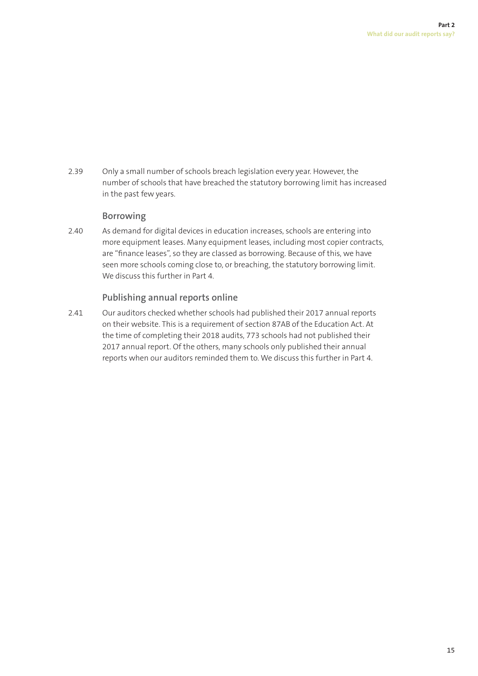2.39 Only a small number of schools breach legislation every year. However, the number of schools that have breached the statutory borrowing limit has increased in the past few years.

### **Borrowing**

2.40 As demand for digital devices in education increases, schools are entering into more equipment leases. Many equipment leases, including most copier contracts, are "finance leases", so they are classed as borrowing. Because of this, we have seen more schools coming close to, or breaching, the statutory borrowing limit. We discuss this further in Part 4.

### **Publishing annual reports online**

2.41 Our auditors checked whether schools had published their 2017 annual reports on their website. This is a requirement of section 87AB of the Education Act. At the time of completing their 2018 audits, 773 schools had not published their 2017 annual report. Of the others, many schools only published their annual reports when our auditors reminded them to. We discuss this further in Part 4.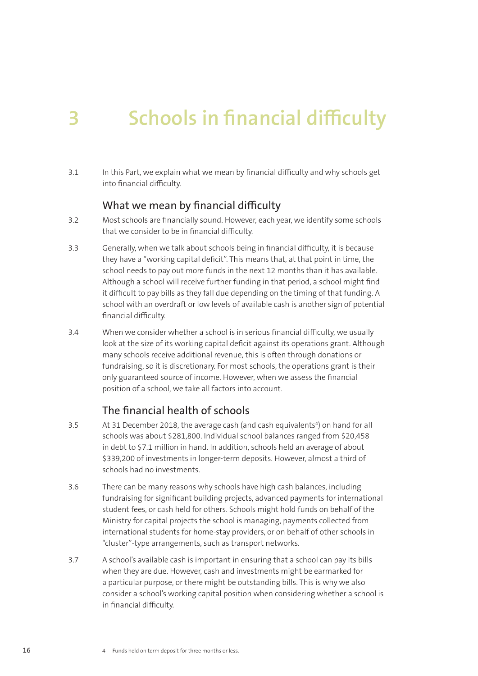# **3** Schools in financial difficulty

3.1 In this Part, we explain what we mean by financial difficulty and why schools get into financial difficulty.

### What we mean by financial difficulty

- 3.2 Most schools are financially sound. However, each year, we identify some schools that we consider to be in financial difficulty.
- 3.3 Generally, when we talk about schools being in financial difficulty, it is because they have a "working capital deficit". This means that, at that point in time, the school needs to pay out more funds in the next 12 months than it has available. Although a school will receive further funding in that period, a school might find it difficult to pay bills as they fall due depending on the timing of that funding. A school with an overdraft or low levels of available cash is another sign of potential financial difficulty.
- 3.4 When we consider whether a school is in serious financial difficulty, we usually look at the size of its working capital deficit against its operations grant. Although many schools receive additional revenue, this is often through donations or fundraising, so it is discretionary. For most schools, the operations grant is their only guaranteed source of income. However, when we assess the financial position of a school, we take all factors into account.

### The financial health of schools

- 3.5 At 31 December 2018, the average cash (and cash equivalents<sup>4</sup>) on hand for all schools was about \$281,800. Individual school balances ranged from \$20,458 in debt to \$7.1 million in hand. In addition, schools held an average of about \$339,200 of investments in longer-term deposits. However, almost a third of schools had no investments.
- 3.6 There can be many reasons why schools have high cash balances, including fundraising for significant building projects, advanced payments for international student fees, or cash held for others. Schools might hold funds on behalf of the Ministry for capital projects the school is managing, payments collected from international students for home-stay providers, or on behalf of other schools in "cluster"-type arrangements, such as transport networks.
- 3.7 A school's available cash is important in ensuring that a school can pay its bills when they are due. However, cash and investments might be earmarked for a particular purpose, or there might be outstanding bills. This is why we also consider a school's working capital position when considering whether a school is in financial difficulty.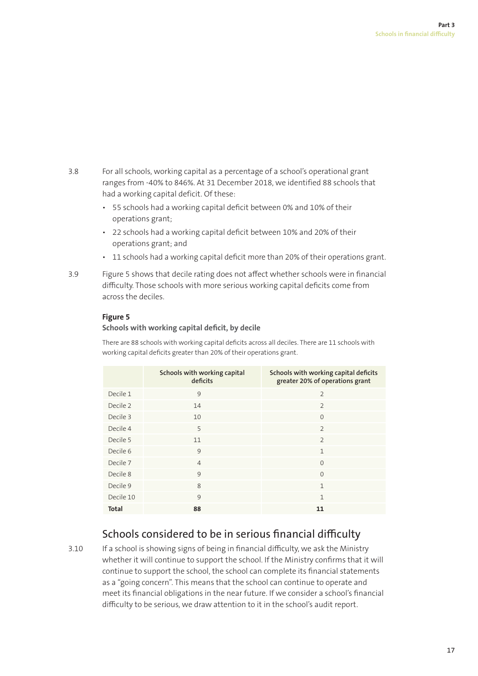- 3.8 For all schools, working capital as a percentage of a school's operational grant ranges from -40% to 846%. At 31 December 2018, we identified 88 schools that had a working capital deficit. Of these:
	- 55 schools had a working capital deficit between 0% and 10% of their operations grant;
	- 22 schools had a working capital deficit between 10% and 20% of their operations grant; and
	- 11 schools had a working capital deficit more than 20% of their operations grant.
- 3.9 Figure 5 shows that decile rating does not affect whether schools were in financial difficulty. Those schools with more serious working capital deficits come from across the deciles.

### **Figure 5**

#### **Schools with working capital deficit, by decile**

There are 88 schools with working capital deficits across all deciles. There are 11 schools with working capital deficits greater than 20% of their operations grant.

|              | Schools with working capital<br>deficits | Schools with working capital deficits<br>greater 20% of operations grant |
|--------------|------------------------------------------|--------------------------------------------------------------------------|
| Decile 1     | 9                                        | $\overline{2}$                                                           |
| Decile 2     | 14                                       | $\overline{2}$                                                           |
| Decile 3     | 10                                       | $\Omega$                                                                 |
| Decile 4     | 5                                        | $\overline{2}$                                                           |
| Decile 5     | 11                                       | $\overline{2}$                                                           |
| Decile 6     | 9                                        | $\mathbf{1}$                                                             |
| Decile 7     | $\overline{4}$                           | $\Omega$                                                                 |
| Decile 8     | 9                                        | $\Omega$                                                                 |
| Decile 9     | 8                                        | $\mathbf{1}$                                                             |
| Decile 10    | 9                                        | $\mathbf{1}$                                                             |
| <b>Total</b> | 88                                       | 11                                                                       |

# Schools considered to be in serious financial difficulty

3.10 If a school is showing signs of being in financial difficulty, we ask the Ministry whether it will continue to support the school. If the Ministry confirms that it will continue to support the school, the school can complete its financial statements as a "going concern". This means that the school can continue to operate and meet its financial obligations in the near future. If we consider a school's financial difficulty to be serious, we draw attention to it in the school's audit report.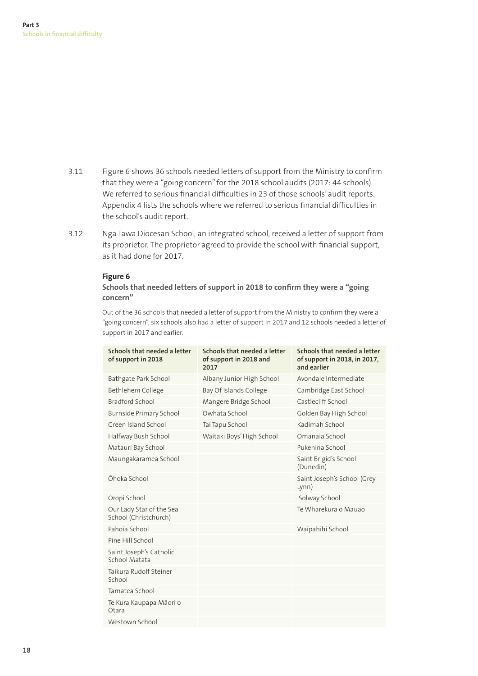- 3.11 Figure 6 shows 36 schools needed letters of support from the Ministry to confirm that they were a "going concern" for the 2018 school audits (2017: 44 schools). We referred to serious financial difficulties in 23 of those schools' audit reports. Appendix 4 lists the schools where we referred to serious financial difficulties in the school's audit report.
- 3.12 Nga Tawa Diocesan School, an integrated school, received a letter of support from its proprietor. The proprietor agreed to provide the school with financial support, as it had done for 2017.

#### **Figure 6**

### Schools that needed letters of support in 2018 to confirm they were a "going" **concern"**

Out of the 36 schools that needed a letter of support from the Ministry to confirm they were a "going concern", six schools also had a letter of support in 2017 and 12 schools needed a letter of support in 2017 and earlier.

| Schools that needed a letter<br>of support in 2018 | Schools that needed a letter<br>of support in 2018 and<br>2017 | Schools that needed a letter<br>of support in 2018, in 2017,<br>and earlier |
|----------------------------------------------------|----------------------------------------------------------------|-----------------------------------------------------------------------------|
| Bathgate Park School                               | Albany Junior High School                                      | Avondale Intermediate                                                       |
| Bethlehem College                                  | Bay Of Islands College                                         | Cambridge East School                                                       |
| Bradford School                                    | Mangere Bridge School                                          | Castlecliff School                                                          |
| Burnside Primary School                            | Owhata School                                                  | Golden Bay High School                                                      |
| Green Island School                                | Tai Tapu School                                                | Kadimah School                                                              |
| Halfway Bush School                                | Waitaki Boys' High School                                      | Omanaja School                                                              |
| Matauri Bay School                                 |                                                                | Pukehina School                                                             |
| Maungakaramea School                               |                                                                | Saint Brigid's School<br>(Dunedin)                                          |
| Ōhoka School                                       |                                                                | Saint Joseph's School (Grey<br>Lynn)                                        |
| Oropi School                                       |                                                                | Solway School                                                               |
| Our Lady Star of the Sea<br>School (Christchurch)  |                                                                | Te Wharekura o Mauao                                                        |
| Pahoia School                                      |                                                                | Waipahihi School                                                            |
| Pine Hill School                                   |                                                                |                                                                             |
| Saint Joseph's Catholic<br>School Matata           |                                                                |                                                                             |
| Taikura Rudolf Steiner<br>School                   |                                                                |                                                                             |
| Tamatea School                                     |                                                                |                                                                             |
| Te Kura Kaupapa Māori o<br>Otara                   |                                                                |                                                                             |
| Westown School                                     |                                                                |                                                                             |
|                                                    |                                                                |                                                                             |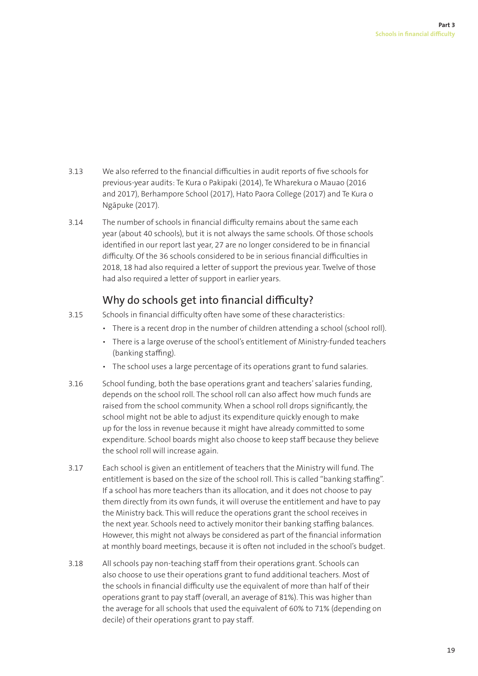- 3.13 We also referred to the financial difficulties in audit reports of five schools for previous-year audits: Te Kura o Pakipaki (2014), Te Wharekura o Mauao (2016 and 2017), Berhampore School (2017), Hato Paora College (2017) and Te Kura o Ngāpuke (2017).
- 3.14 The number of schools in financial difficulty remains about the same each year (about 40 schools), but it is not always the same schools. Of those schools identified in our report last year, 27 are no longer considered to be in financial difficulty. Of the 36 schools considered to be in serious financial difficulties in 2018, 18 had also required a letter of support the previous year. Twelve of those had also required a letter of support in earlier years.

# Why do schools get into financial difficulty?

- 3.15 Schools in financial difficulty often have some of these characteristics:
	- There is a recent drop in the number of children attending a school (school roll).
	- There is a large overuse of the school's entitlement of Ministry-funded teachers (banking staffing).
	- The school uses a large percentage of its operations grant to fund salaries.
- 3.16 School funding, both the base operations grant and teachers' salaries funding, depends on the school roll. The school roll can also affect how much funds are raised from the school community. When a school roll drops significantly, the school might not be able to adjust its expenditure quickly enough to make up for the loss in revenue because it might have already committed to some expenditure. School boards might also choose to keep staff because they believe the school roll will increase again.
- 3.17 Each school is given an entitlement of teachers that the Ministry will fund. The entitlement is based on the size of the school roll. This is called "banking staffing". If a school has more teachers than its allocation, and it does not choose to pay them directly from its own funds, it will overuse the entitlement and have to pay the Ministry back. This will reduce the operations grant the school receives in the next year. Schools need to actively monitor their banking staffing balances. However, this might not always be considered as part of the financial information at monthly board meetings, because it is often not included in the school's budget.
- 3.18 All schools pay non-teaching staff from their operations grant. Schools can also choose to use their operations grant to fund additional teachers. Most of the schools in financial difficulty use the equivalent of more than half of their operations grant to pay staff (overall, an average of 81%). This was higher than the average for all schools that used the equivalent of 60% to 71% (depending on decile) of their operations grant to pay staff.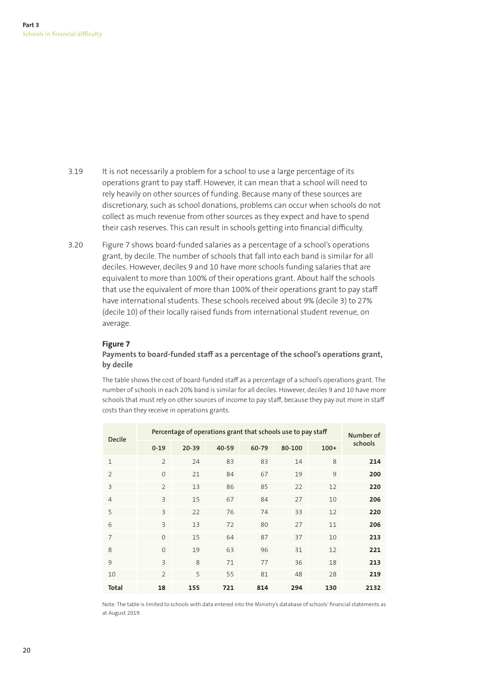- 3.19 It is not necessarily a problem for a school to use a large percentage of its operations grant to pay staff. However, it can mean that a school will need to rely heavily on other sources of funding. Because many of these sources are discretionary, such as school donations, problems can occur when schools do not collect as much revenue from other sources as they expect and have to spend their cash reserves. This can result in schools getting into financial difficulty.
- 3.20 Figure 7 shows board-funded salaries as a percentage of a school's operations grant, by decile. The number of schools that fall into each band is similar for all deciles. However, deciles 9 and 10 have more schools funding salaries that are equivalent to more than 100% of their operations grant. About half the schools that use the equivalent of more than 100% of their operations grant to pay staff have international students. These schools received about 9% (decile 3) to 27% (decile 10) of their locally raised funds from international student revenue, on average.

### **Figure 7**

### **Payments to board-funded staff as a percentage of the school's operations grant, by decile**

The table shows the cost of board-funded staff as a percentage of a school's operations grant. The number of schools in each 20% band is similar for all deciles. However, deciles 9 and 10 have more schools that must rely on other sources of income to pay staff, because they pay out more in staff costs than they receive in operations grants.

| <b>Decile</b>           | Percentage of operations grant that schools use to pay staff |           |       |       | Number of |        |         |
|-------------------------|--------------------------------------------------------------|-----------|-------|-------|-----------|--------|---------|
|                         | $0 - 19$                                                     | $20 - 39$ | 40-59 | 60-79 | 80-100    | $100+$ | schools |
| $\mathbf{1}$            | $\overline{2}$                                               | 24        | 83    | 83    | 14        | 8      | 214     |
| $\overline{2}$          | $\Omega$                                                     | 21        | 84    | 67    | 19        | 9      | 200     |
| $\overline{\mathbf{3}}$ | $\overline{2}$                                               | 13        | 86    | 85    | 22        | 12     | 220     |
| $\overline{4}$          | $\overline{3}$                                               | 15        | 67    | 84    | 27        | 10     | 206     |
| 5                       | $\overline{3}$                                               | 22        | 76    | 74    | 33        | 12     | 220     |
| 6                       | $\overline{3}$                                               | 13        | 72    | 80    | 27        | 11     | 206     |
| $\overline{7}$          | $\Omega$                                                     | 15        | 64    | 87    | 37        | 10     | 213     |
| 8                       | $\Omega$                                                     | 19        | 63    | 96    | 31        | 12     | 221     |
| 9                       | $\overline{3}$                                               | 8         | 71    | 77    | 36        | 18     | 213     |
| 10                      | $\overline{2}$                                               | 5         | 55    | 81    | 48        | 28     | 219     |
| <b>Total</b>            | 18                                                           | 155       | 721   | 814   | 294       | 130    | 2132    |

Note: The table is limited to schools with data entered into the Ministry's database of schools' financial statements as at August 2019.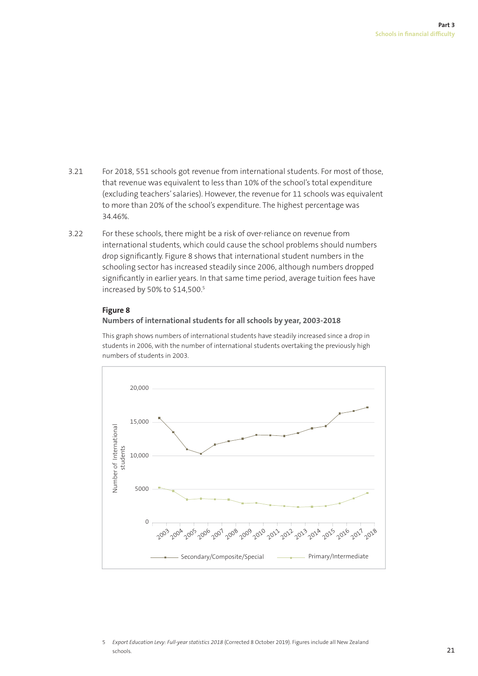- 3.21 For 2018, 551 schools got revenue from international students. For most of those, that revenue was equivalent to less than 10% of the school's total expenditure (excluding teachers' salaries). However, the revenue for 11 schools was equivalent to more than 20% of the school's expenditure. The highest percentage was 34.46%.
- 3.22 For these schools, there might be a risk of over-reliance on revenue from international students, which could cause the school problems should numbers drop significantly. Figure 8 shows that international student numbers in the schooling sector has increased steadily since 2006, although numbers dropped significantly in earlier years. In that same time period, average tuition fees have increased by 50% to \$14,500.5

### **Figure 8**

### **Numbers of international students for all schools by year, 2003-2018**

This graph shows numbers of international students have steadily increased since a drop in students in 2006, with the number of international students overtaking the previously high numbers of students in 2003.



5 *Export Education Levy: Full-year statistics 2018* (Corrected 8 October 2019). Figures include all New Zealand schools.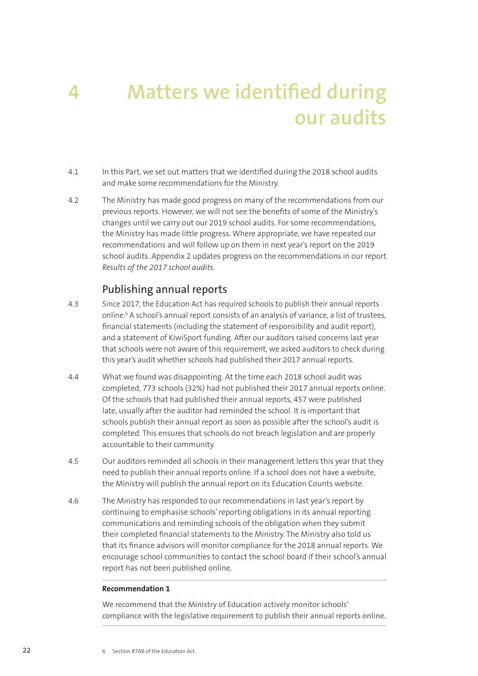# **4** Matters we identified during **our audits**

- 4.1 In this Part, we set out matters that we identified during the 2018 school audits and make some recommendations for the Ministry.
- 4.2 The Ministry has made good progress on many of the recommendations from our previous reports. However, we will not see the benefits of some of the Ministry's changes until we carry out our 2019 school audits. For some recommendations, the Ministry has made little progress. Where appropriate, we have repeated our recommendations and will follow up on them in next year's report on the 2019 school audits. Appendix 2 updates progress on the recommendations in our report *Results of the 2017 school audits*.

### Publishing annual reports

- 4.3 Since 2017, the Education Act has required schools to publish their annual reports online.6 A school's annual report consists of an analysis of variance, a list of trustees, financial statements (including the statement of responsibility and audit report), and a statement of KiwiSport funding. After our auditors raised concerns last year that schools were not aware of this requirement, we asked auditors to check during this year's audit whether schools had published their 2017 annual reports.
- 4.4 What we found was disappointing. At the time each 2018 school audit was completed, 773 schools (32%) had not published their 2017 annual reports online. Of the schools that had published their annual reports, 457 were published late, usually after the auditor had reminded the school. It is important that schools publish their annual report as soon as possible after the school's audit is completed. This ensures that schools do not breach legislation and are properly accountable to their community.
- 4.5 Our auditors reminded all schools in their management letters this year that they need to publish their annual reports online. If a school does not have a website, the Ministry will publish the annual report on its Education Counts website.
- 4.6 The Ministry has responded to our recommendations in last year's report by continuing to emphasise schools' reporting obligations in its annual reporting communications and reminding schools of the obligation when they submit their completed financial statements to the Ministry. The Ministry also told us that its finance advisors will monitor compliance for the 2018 annual reports. We encourage school communities to contact the school board if their school's annual report has not been published online.

### **Recommendation 1**

We recommend that the Ministry of Education actively monitor schools' compliance with the legislative requirement to publish their annual reports online.

6 Section 87AB of the Education Act.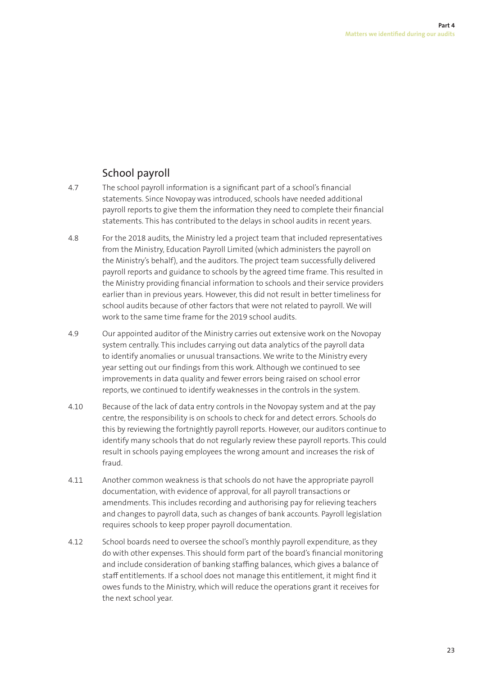# School payroll

- 4.7 The school payroll information is a significant part of a school's financial statements. Since Novopay was introduced, schools have needed additional payroll reports to give them the information they need to complete their financial statements. This has contributed to the delays in school audits in recent years.
- 4.8 For the 2018 audits, the Ministry led a project team that included representatives from the Ministry, Education Payroll Limited (which administers the payroll on the Ministry's behalf), and the auditors. The project team successfully delivered payroll reports and guidance to schools by the agreed time frame. This resulted in the Ministry providing financial information to schools and their service providers earlier than in previous years. However, this did not result in better timeliness for school audits because of other factors that were not related to payroll. We will work to the same time frame for the 2019 school audits.
- 4.9 Our appointed auditor of the Ministry carries out extensive work on the Novopay system centrally. This includes carrying out data analytics of the payroll data to identify anomalies or unusual transactions. We write to the Ministry every year setting out our findings from this work. Although we continued to see improvements in data quality and fewer errors being raised on school error reports, we continued to identify weaknesses in the controls in the system.
- 4.10 Because of the lack of data entry controls in the Novopay system and at the pay centre, the responsibility is on schools to check for and detect errors. Schools do this by reviewing the fortnightly payroll reports. However, our auditors continue to identify many schools that do not regularly review these payroll reports. This could result in schools paying employees the wrong amount and increases the risk of fraud.
- 4.11 Another common weakness is that schools do not have the appropriate payroll documentation, with evidence of approval, for all payroll transactions or amendments. This includes recording and authorising pay for relieving teachers and changes to payroll data, such as changes of bank accounts. Payroll legislation requires schools to keep proper payroll documentation.
- 4.12 School boards need to oversee the school's monthly payroll expenditure, as they do with other expenses. This should form part of the board's financial monitoring and include consideration of banking staffing balances, which gives a balance of staff entitlements. If a school does not manage this entitlement, it might find it owes funds to the Ministry, which will reduce the operations grant it receives for the next school year.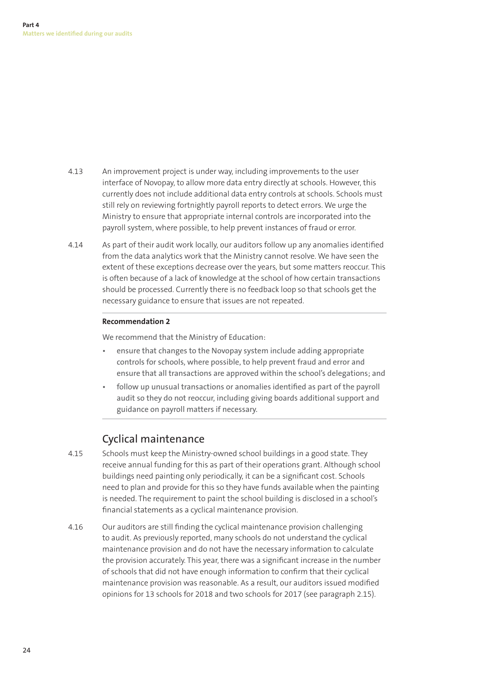- 4.13 An improvement project is under way, including improvements to the user interface of Novopay, to allow more data entry directly at schools. However, this currently does not include additional data entry controls at schools. Schools must still rely on reviewing fortnightly payroll reports to detect errors. We urge the Ministry to ensure that appropriate internal controls are incorporated into the payroll system, where possible, to help prevent instances of fraud or error.
- 4.14 As part of their audit work locally, our auditors follow up any anomalies identified from the data analytics work that the Ministry cannot resolve. We have seen the extent of these exceptions decrease over the years, but some matters reoccur. This is often because of a lack of knowledge at the school of how certain transactions should be processed. Currently there is no feedback loop so that schools get the necessary guidance to ensure that issues are not repeated.

### **Recommendation 2**

We recommend that the Ministry of Education:

- ensure that changes to the Novopay system include adding appropriate controls for schools, where possible, to help prevent fraud and error and ensure that all transactions are approved within the school's delegations; and
- follow up unusual transactions or anomalies identified as part of the payroll audit so they do not reoccur, including giving boards additional support and guidance on payroll matters if necessary.

### Cyclical maintenance

- 4.15 Schools must keep the Ministry-owned school buildings in a good state. They receive annual funding for this as part of their operations grant. Although school buildings need painting only periodically, it can be a significant cost. Schools need to plan and provide for this so they have funds available when the painting is needed. The requirement to paint the school building is disclosed in a school's financial statements as a cyclical maintenance provision.
- 4.16 Our auditors are still finding the cyclical maintenance provision challenging to audit. As previously reported, many schools do not understand the cyclical maintenance provision and do not have the necessary information to calculate the provision accurately. This year, there was a significant increase in the number of schools that did not have enough information to confirm that their cyclical maintenance provision was reasonable. As a result, our auditors issued modified opinions for 13 schools for 2018 and two schools for 2017 (see paragraph 2.15).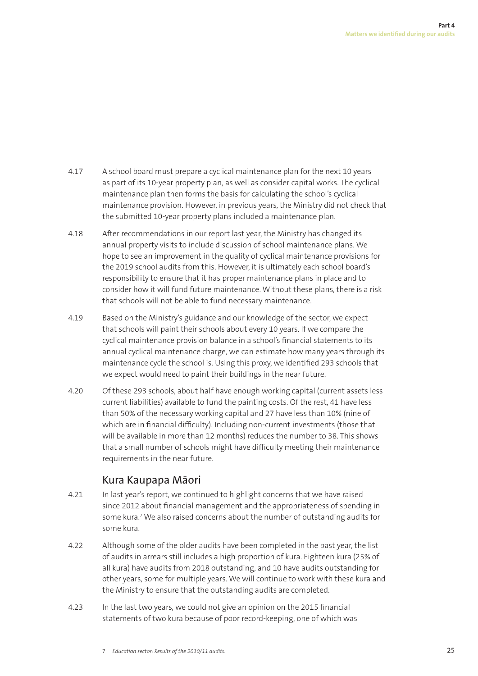- 4.17 A school board must prepare a cyclical maintenance plan for the next 10 years as part of its 10-year property plan, as well as consider capital works. The cyclical maintenance plan then forms the basis for calculating the school's cyclical maintenance provision. However, in previous years, the Ministry did not check that the submitted 10-year property plans included a maintenance plan.
- 4.18 After recommendations in our report last year, the Ministry has changed its annual property visits to include discussion of school maintenance plans. We hope to see an improvement in the quality of cyclical maintenance provisions for the 2019 school audits from this. However, it is ultimately each school board's responsibility to ensure that it has proper maintenance plans in place and to consider how it will fund future maintenance. Without these plans, there is a risk that schools will not be able to fund necessary maintenance.
- 4.19 Based on the Ministry's guidance and our knowledge of the sector, we expect that schools will paint their schools about every 10 years. If we compare the cyclical maintenance provision balance in a school's financial statements to its annual cyclical maintenance charge, we can estimate how many years through its maintenance cycle the school is. Using this proxy, we identified 293 schools that we expect would need to paint their buildings in the near future.
- 4.20 Of these 293 schools, about half have enough working capital (current assets less current liabilities) available to fund the painting costs. Of the rest, 41 have less than 50% of the necessary working capital and 27 have less than 10% (nine of which are in financial difficulty). Including non-current investments (those that will be available in more than 12 months) reduces the number to 38. This shows that a small number of schools might have difficulty meeting their maintenance requirements in the near future.

# Kura Kaupapa Māori

- 4.21 In last year's report, we continued to highlight concerns that we have raised since 2012 about financial management and the appropriateness of spending in some kura.7 We also raised concerns about the number of outstanding audits for some kura.
- 4.22 Although some of the older audits have been completed in the past year, the list of audits in arrears still includes a high proportion of kura. Eighteen kura (25% of all kura) have audits from 2018 outstanding, and 10 have audits outstanding for other years, some for multiple years. We will continue to work with these kura and the Ministry to ensure that the outstanding audits are completed.
- 4.23 In the last two years, we could not give an opinion on the 2015 financial statements of two kura because of poor record-keeping, one of which was

<sup>7</sup> *Education sector: Results of the 2010/11 audits*.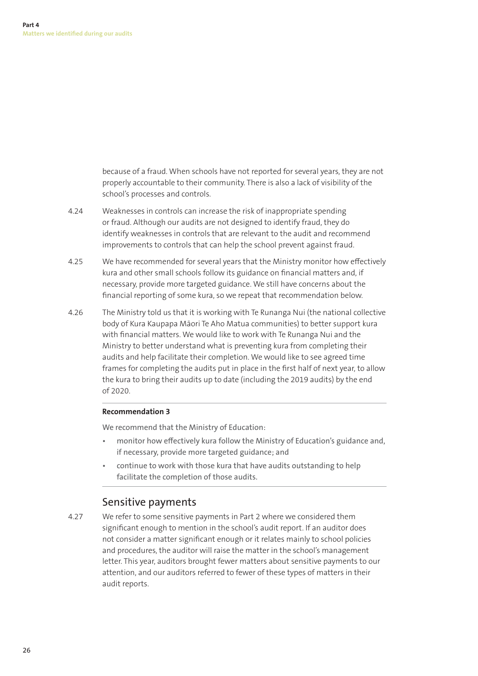because of a fraud. When schools have not reported for several years, they are not properly accountable to their community. There is also a lack of visibility of the school's processes and controls.

- 4.24 Weaknesses in controls can increase the risk of inappropriate spending or fraud. Although our audits are not designed to identify fraud, they do identify weaknesses in controls that are relevant to the audit and recommend improvements to controls that can help the school prevent against fraud.
- 4.25 We have recommended for several years that the Ministry monitor how effectively kura and other small schools follow its guidance on financial matters and, if necessary, provide more targeted guidance. We still have concerns about the financial reporting of some kura, so we repeat that recommendation below.
- 4.26 The Ministry told us that it is working with Te Runanga Nui (the national collective body of Kura Kaupapa Māori Te Aho Matua communities) to better support kura with financial matters. We would like to work with Te Runanga Nui and the Ministry to better understand what is preventing kura from completing their audits and help facilitate their completion. We would like to see agreed time frames for completing the audits put in place in the first half of next year, to allow the kura to bring their audits up to date (including the 2019 audits) by the end of 2020.

### **Recommendation 3**

We recommend that the Ministry of Education:

- monitor how effectively kura follow the Ministry of Education's guidance and, if necessary, provide more targeted guidance; and
- continue to work with those kura that have audits outstanding to help facilitate the completion of those audits.

# Sensitive payments

4.27 We refer to some sensitive payments in Part 2 where we considered them significant enough to mention in the school's audit report. If an auditor does not consider a matter significant enough or it relates mainly to school policies and procedures, the auditor will raise the matter in the school's management letter. This year, auditors brought fewer matters about sensitive payments to our attention, and our auditors referred to fewer of these types of matters in their audit reports.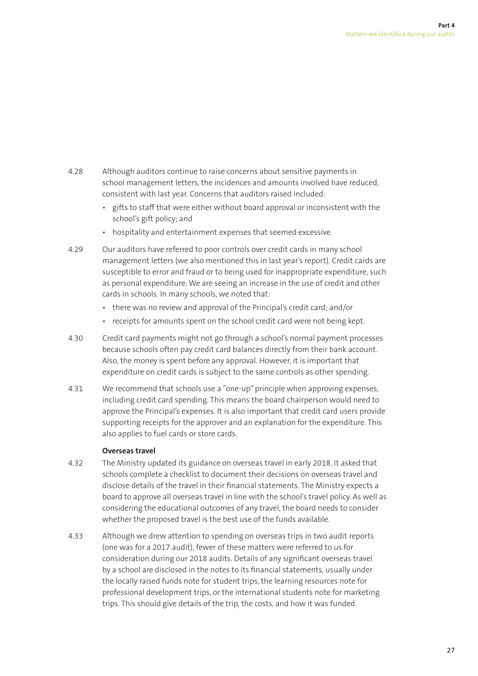- 4.28 Although auditors continue to raise concerns about sensitive payments in school management letters, the incidences and amounts involved have reduced, consistent with last year. Concerns that auditors raised included:
	- gifts to staff that were either without board approval or inconsistent with the school's gift policy; and
	- hospitality and entertainment expenses that seemed excessive.
- 4.29 Our auditors have referred to poor controls over credit cards in many school management letters (we also mentioned this in last year's report). Credit cards are susceptible to error and fraud or to being used for inappropriate expenditure, such as personal expenditure. We are seeing an increase in the use of credit and other cards in schools. In many schools, we noted that:
	- there was no review and approval of the Principal's credit card; and/or
	- receipts for amounts spent on the school credit card were not being kept.
- 4.30 Credit card payments might not go through a school's normal payment processes because schools often pay credit card balances directly from their bank account. Also, the money is spent before any approval. However, it is important that expenditure on credit cards is subject to the same controls as other spending.
- 4.31 We recommend that schools use a "one-up" principle when approving expenses, including credit card spending. This means the board chairperson would need to approve the Principal's expenses. It is also important that credit card users provide supporting receipts for the approver and an explanation for the expenditure. This also applies to fuel cards or store cards.

### **Overseas travel**

- 4.32 The Ministry updated its guidance on overseas travel in early 2018. It asked that schools complete a checklist to document their decisions on overseas travel and disclose details of the travel in their financial statements. The Ministry expects a board to approve all overseas travel in line with the school's travel policy. As well as considering the educational outcomes of any travel, the board needs to consider whether the proposed travel is the best use of the funds available.
- 4.33 Although we drew attention to spending on overseas trips in two audit reports (one was for a 2017 audit), fewer of these matters were referred to us for consideration during our 2018 audits. Details of any significant overseas travel by a school are disclosed in the notes to its financial statements, usually under the locally raised funds note for student trips, the learning resources note for professional development trips, or the international students note for marketing trips. This should give details of the trip, the costs, and how it was funded.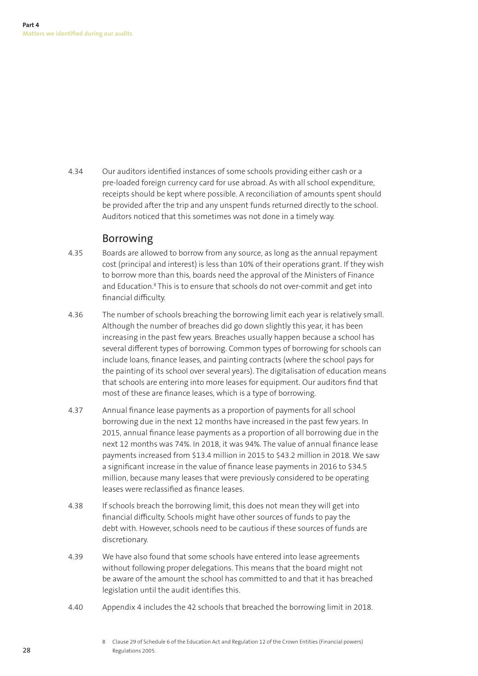4.34 Our auditors identified instances of some schools providing either cash or a pre-loaded foreign currency card for use abroad. As with all school expenditure, receipts should be kept where possible. A reconciliation of amounts spent should be provided after the trip and any unspent funds returned directly to the school. Auditors noticed that this sometimes was not done in a timely way.

# Borrowing

- 4.35 Boards are allowed to borrow from any source, as long as the annual repayment cost (principal and interest) is less than 10% of their operations grant. If they wish to borrow more than this, boards need the approval of the Ministers of Finance and Education.<sup>8</sup> This is to ensure that schools do not over-commit and get into financial difficulty.
- 4.36 The number of schools breaching the borrowing limit each year is relatively small. Although the number of breaches did go down slightly this year, it has been increasing in the past few years. Breaches usually happen because a school has several different types of borrowing. Common types of borrowing for schools can include loans, finance leases, and painting contracts (where the school pays for the painting of its school over several years). The digitalisation of education means that schools are entering into more leases for equipment. Our auditors find that most of these are finance leases, which is a type of borrowing.
- 4.37 Annual finance lease payments as a proportion of payments for all school borrowing due in the next 12 months have increased in the past few years. In 2015, annual finance lease payments as a proportion of all borrowing due in the next 12 months was 74%. In 2018, it was 94%. The value of annual finance lease payments increased from \$13.4 million in 2015 to \$43.2 million in 2018. We saw a significant increase in the value of finance lease payments in 2016 to \$34.5 million, because many leases that were previously considered to be operating leases were reclassified as finance leases.
- 4.38 If schools breach the borrowing limit, this does not mean they will get into financial difficulty. Schools might have other sources of funds to pay the debt with. However, schools need to be cautious if these sources of funds are discretionary.
- 4.39 We have also found that some schools have entered into lease agreements without following proper delegations. This means that the board might not be aware of the amount the school has committed to and that it has breached legislation until the audit identifies this.
- 4.40 Appendix 4 includes the 42 schools that breached the borrowing limit in 2018.

<sup>8</sup> Clause 29 of Schedule 6 of the Education Act and Regulation 12 of the Crown Entities (Financial powers) Regulations 2005.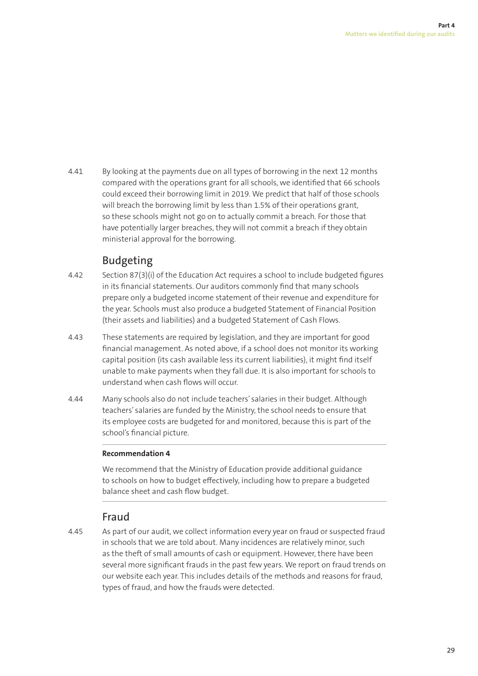4.41 By looking at the payments due on all types of borrowing in the next 12 months compared with the operations grant for all schools, we identified that 66 schools could exceed their borrowing limit in 2019. We predict that half of those schools will breach the borrowing limit by less than 1.5% of their operations grant, so these schools might not go on to actually commit a breach. For those that have potentially larger breaches, they will not commit a breach if they obtain ministerial approval for the borrowing.

# Budgeting

- 4.42 Section 87(3)(i) of the Education Act requires a school to include budgeted figures in its financial statements. Our auditors commonly find that many schools prepare only a budgeted income statement of their revenue and expenditure for the year. Schools must also produce a budgeted Statement of Financial Position (their assets and liabilities) and a budgeted Statement of Cash Flows.
- 4.43 These statements are required by legislation, and they are important for good financial management. As noted above, if a school does not monitor its working capital position (its cash available less its current liabilities), it might find itself unable to make payments when they fall due. It is also important for schools to understand when cash flows will occur.
- 4.44 Many schools also do not include teachers' salaries in their budget. Although teachers' salaries are funded by the Ministry, the school needs to ensure that its employee costs are budgeted for and monitored, because this is part of the school's financial picture.

### **Recommendation 4**

We recommend that the Ministry of Education provide additional guidance to schools on how to budget effectively, including how to prepare a budgeted balance sheet and cash flow budget.

# Fraud

4.45 As part of our audit, we collect information every year on fraud or suspected fraud in schools that we are told about. Many incidences are relatively minor, such as the theft of small amounts of cash or equipment. However, there have been several more significant frauds in the past few years. We report on fraud trends on our website each year. This includes details of the methods and reasons for fraud, types of fraud, and how the frauds were detected.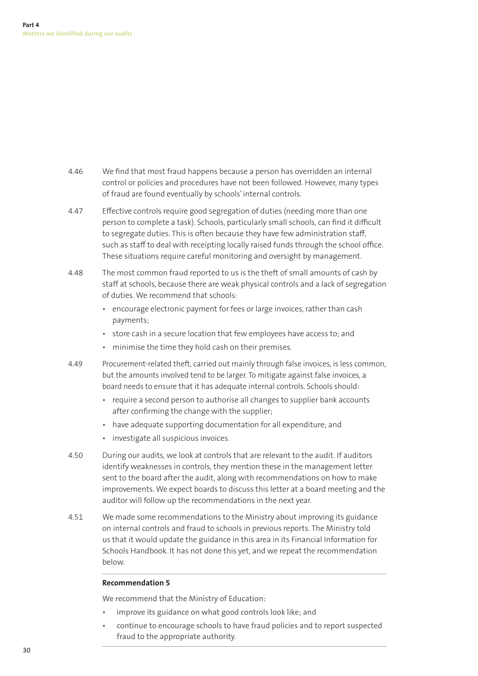- 4.46 We find that most fraud happens because a person has overridden an internal control or policies and procedures have not been followed. However, many types of fraud are found eventually by schools' internal controls.
- 4.47 Effective controls require good segregation of duties (needing more than one person to complete a task). Schools, particularly small schools, can find it difficult to segregate duties. This is often because they have few administration staff. such as staff to deal with receipting locally raised funds through the school office. These situations require careful monitoring and oversight by management.
- 4.48 The most common fraud reported to us is the theft of small amounts of cash by staff at schools, because there are weak physical controls and a lack of segregation of duties. We recommend that schools:
	- encourage electronic payment for fees or large invoices, rather than cash payments;
	- store cash in a secure location that few employees have access to; and
	- minimise the time they hold cash on their premises.
- 4.49 Procurement-related theft, carried out mainly through false invoices, is less common, but the amounts involved tend to be larger. To mitigate against false invoices, a board needs to ensure that it has adequate internal controls. Schools should:
	- require a second person to authorise all changes to supplier bank accounts after confirming the change with the supplier;
	- have adequate supporting documentation for all expenditure; and
	- investigate all suspicious invoices.
- 4.50 During our audits, we look at controls that are relevant to the audit. If auditors identify weaknesses in controls, they mention these in the management letter sent to the board after the audit, along with recommendations on how to make improvements. We expect boards to discuss this letter at a board meeting and the auditor will follow up the recommendations in the next year.
- 4.51 We made some recommendations to the Ministry about improving its guidance on internal controls and fraud to schools in previous reports. The Ministry told us that it would update the guidance in this area in its Financial Information for Schools Handbook. It has not done this yet, and we repeat the recommendation below.

### **Recommendation 5**

We recommend that the Ministry of Education:

- improve its guidance on what good controls look like; and
- continue to encourage schools to have fraud policies and to report suspected fraud to the appropriate authority.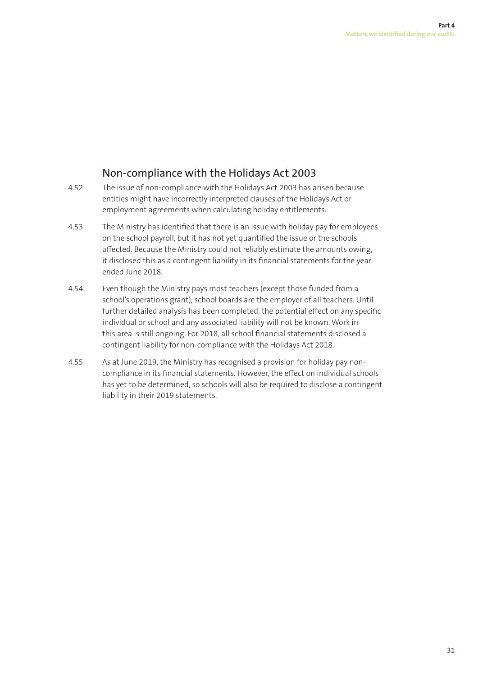# Non-compliance with the Holidays Act 2003

- 4.52 The issue of non-compliance with the Holidays Act 2003 has arisen because entities might have incorrectly interpreted clauses of the Holidays Act or employment agreements when calculating holiday entitlements.
- 4.53 The Ministry has identified that there is an issue with holiday pay for employees on the school payroll, but it has not yet quantified the issue or the schools affected. Because the Ministry could not reliably estimate the amounts owing, it disclosed this as a contingent liability in its financial statements for the year ended June 2018.
- 4.54 Even though the Ministry pays most teachers (except those funded from a school's operations grant), school boards are the employer of all teachers. Until further detailed analysis has been completed, the potential effect on any specific individual or school and any associated liability will not be known. Work in this area is still ongoing. For 2018, all school financial statements disclosed a contingent liability for non-compliance with the Holidays Act 2018.
- 4.55 As at June 2019, the Ministry has recognised a provision for holiday pay noncompliance in its financial statements. However, the effect on individual schools has yet to be determined, so schools will also be required to disclose a contingent liability in their 2019 statements.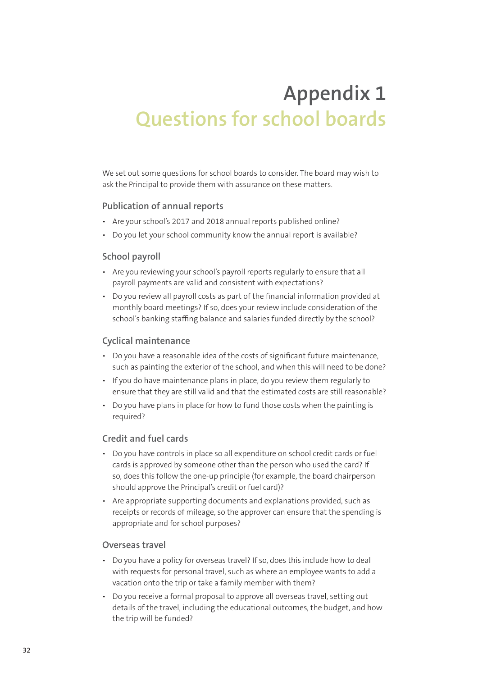# **Appendix 1 Questions for school boards**

We set out some questions for school boards to consider. The board may wish to ask the Principal to provide them with assurance on these matters.

### **Publication of annual reports**

- Are your school's 2017 and 2018 annual reports published online?
- Do you let your school community know the annual report is available?

### **School payroll**

- Are you reviewing your school's payroll reports regularly to ensure that all payroll payments are valid and consistent with expectations?
- Do you review all payroll costs as part of the financial information provided at monthly board meetings? If so, does your review include consideration of the school's banking staffing balance and salaries funded directly by the school?

### **Cyclical maintenance**

- Do you have a reasonable idea of the costs of significant future maintenance, such as painting the exterior of the school, and when this will need to be done?
- If you do have maintenance plans in place, do you review them regularly to ensure that they are still valid and that the estimated costs are still reasonable?
- Do you have plans in place for how to fund those costs when the painting is required?

### **Credit and fuel cards**

- Do you have controls in place so all expenditure on school credit cards or fuel cards is approved by someone other than the person who used the card? If so, does this follow the one-up principle (for example, the board chairperson should approve the Principal's credit or fuel card)?
- Are appropriate supporting documents and explanations provided, such as receipts or records of mileage, so the approver can ensure that the spending is appropriate and for school purposes?

### **Overseas travel**

- Do you have a policy for overseas travel? If so, does this include how to deal with requests for personal travel, such as where an employee wants to add a vacation onto the trip or take a family member with them?
- Do you receive a formal proposal to approve all overseas travel, setting out details of the travel, including the educational outcomes, the budget, and how the trip will be funded?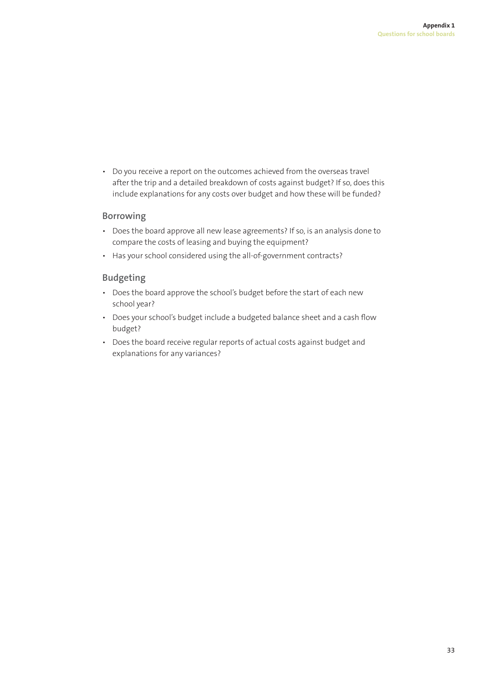• Do you receive a report on the outcomes achieved from the overseas travel after the trip and a detailed breakdown of costs against budget? If so, does this include explanations for any costs over budget and how these will be funded?

### **Borrowing**

- Does the board approve all new lease agreements? If so, is an analysis done to compare the costs of leasing and buying the equipment?
- Has your school considered using the all-of-government contracts?

### **Budgeting**

- Does the board approve the school's budget before the start of each new school year?
- Does your school's budget include a budgeted balance sheet and a cash flow budget?
- Does the board receive regular reports of actual costs against budget and explanations for any variances?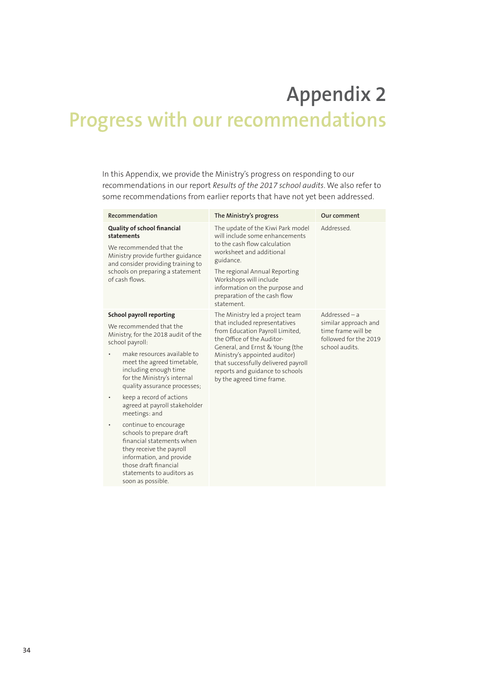# **Appendix 2 Progress with our recommendations**

In this Appendix, we provide the Ministry's progress on responding to our recommendations in our report *Results of the 2017 school audits*. We also refer to some recommendations from earlier reports that have not yet been addressed.

| Recommendation                                                                                                                                                                                                                                                                                                                                                                                                                                                                                                                                                               | The Ministry's progress                                                                                                                                                                                                                                                                                      | Our comment                                                                                              |
|------------------------------------------------------------------------------------------------------------------------------------------------------------------------------------------------------------------------------------------------------------------------------------------------------------------------------------------------------------------------------------------------------------------------------------------------------------------------------------------------------------------------------------------------------------------------------|--------------------------------------------------------------------------------------------------------------------------------------------------------------------------------------------------------------------------------------------------------------------------------------------------------------|----------------------------------------------------------------------------------------------------------|
| <b>Quality of school financial</b><br>statements<br>We recommended that the<br>Ministry provide further guidance<br>and consider providing training to<br>schools on preparing a statement<br>of cash flows.                                                                                                                                                                                                                                                                                                                                                                 | The update of the Kiwi Park model<br>will include some enhancements<br>to the cash flow calculation<br>worksheet and additional<br>guidance.<br>The regional Annual Reporting<br>Workshops will include<br>information on the purpose and<br>preparation of the cash flow<br>statement                       | Addressed.                                                                                               |
| <b>School payroll reporting</b><br>We recommended that the<br>Ministry, for the 2018 audit of the<br>school payroll:<br>make resources available to<br>meet the agreed timetable,<br>including enough time<br>for the Ministry's internal<br>quality assurance processes;<br>keep a record of actions<br>agreed at payroll stakeholder<br>meetings: and<br>continue to encourage<br>schools to prepare draft<br>financial statements when<br>they receive the payroll<br>information, and provide<br>those draft financial<br>statements to auditors as<br>soon as possible. | The Ministry led a project team<br>that included representatives<br>from Education Payroll Limited,<br>the Office of the Auditor-<br>General, and Ernst & Young (the<br>Ministry's appointed auditor)<br>that successfully delivered payroll<br>reports and guidance to schools<br>by the agreed time frame. | $Addressed - a$<br>similar approach and<br>time frame will be<br>followed for the 2019<br>school audits. |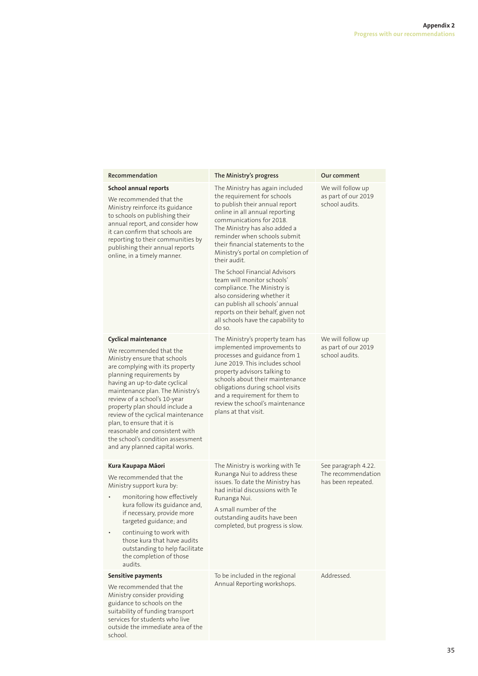#### **School annual reports**

We recommended that the Ministry reinforce its guidance to schools on publishing their annual report, and consider how it can confirm that schools are reporting to their communities by publishing their annual reports online, in a timely manner.

#### **Cyclical maintenance**

We recommended that the Ministry ensure that schools are complying with its property planning requirements by having an up-to-date cyclical maintenance plan. The Ministry's review of a school's 10-year property plan should include a review of the cyclical maintenance plan, to ensure that it is reasonable and consistent with the school's condition assessment and any planned capital works.

#### **Kura Kaupapa Māori**

We recommended that the Ministry support kura by:

- monitoring how effectively kura follow its guidance and, if necessary, provide more targeted guidance; and
- continuing to work with those kura that have audits outstanding to help facilitate the completion of those audits.

#### **Sensitive payments**

We recommended that the Ministry consider providing guidance to schools on the suitability of funding transport services for students who live outside the immediate area of the school.

#### **Recommendation The Ministry's progress Our comment**

The Ministry has again included the requirement for schools to publish their annual report online in all annual reporting communications for 2018. The Ministry has also added a reminder when schools submit their financial statements to the Ministry's portal on completion of their audit.

The School Financial Advisors team will monitor schools' compliance. The Ministry is also considering whether it can publish all schools' annual reports on their behalf, given not all schools have the capability to do so.

The Ministry's property team has implemented improvements to processes and guidance from 1 June 2019. This includes school property advisors talking to schools about their maintenance obligations during school visits and a requirement for them to review the school's maintenance plans at that visit.

The Ministry is working with Te Runanga Nui to address these issues. To date the Ministry has had initial discussions with Te Runanga Nui.

A small number of the outstanding audits have been completed, but progress is slow.

To be included in the regional

Annual Reporting workshops.

Addressed.

We will follow up as part of our 2019 school audits.

We will follow up as part of our 2019 school audits.

See paragraph 4.22. The recommendation has been repeated.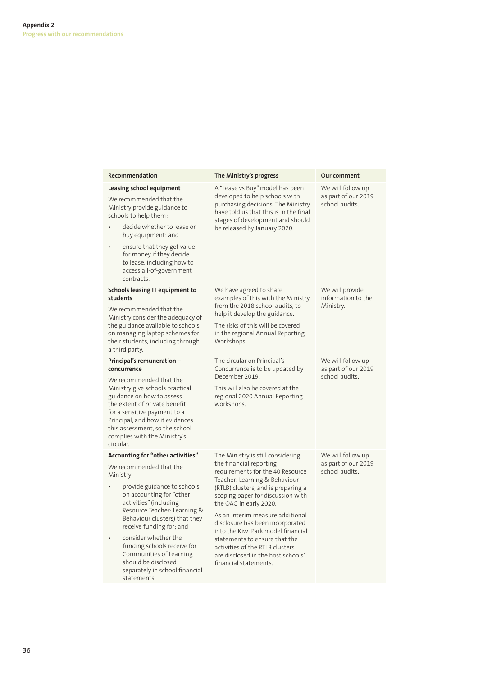| Recommendation                                                                                                                                                                                                                                                                                                                                                                                                               | The Ministry's progress                                                                                                                                                                                                                                                                                                                                                                                                                                                                  | Our comment                                                |
|------------------------------------------------------------------------------------------------------------------------------------------------------------------------------------------------------------------------------------------------------------------------------------------------------------------------------------------------------------------------------------------------------------------------------|------------------------------------------------------------------------------------------------------------------------------------------------------------------------------------------------------------------------------------------------------------------------------------------------------------------------------------------------------------------------------------------------------------------------------------------------------------------------------------------|------------------------------------------------------------|
| Leasing school equipment<br>We recommended that the<br>Ministry provide guidance to<br>schools to help them:<br>decide whether to lease or<br>buy equipment: and<br>ensure that they get value<br>$\bullet$<br>for money if they decide<br>to lease, including how to<br>access all-of-government<br>contracts.                                                                                                              | A "Lease vs Buy" model has been<br>developed to help schools with<br>purchasing decisions. The Ministry<br>have told us that this is in the final<br>stages of development and should<br>be released by January 2020.                                                                                                                                                                                                                                                                    | We will follow up<br>as part of our 2019<br>school audits. |
| <b>Schools leasing IT equipment to</b><br>students<br>We recommended that the<br>Ministry consider the adequacy of<br>the guidance available to schools<br>on managing laptop schemes for<br>their students, including through<br>a third party.                                                                                                                                                                             | We have agreed to share<br>examples of this with the Ministry<br>from the 2018 school audits, to<br>help it develop the guidance.<br>The risks of this will be covered<br>in the regional Annual Reporting<br>Workshops.                                                                                                                                                                                                                                                                 | We will provide<br>information to the<br>Ministry.         |
| Principal's remuneration -<br>concurrence<br>We recommended that the<br>Ministry give schools practical<br>guidance on how to assess<br>the extent of private benefit<br>for a sensitive payment to a<br>Principal, and how it evidences<br>this assessment, so the school<br>complies with the Ministry's<br>circular.                                                                                                      | The circular on Principal's<br>Concurrence is to be updated by<br>December 2019.<br>This will also be covered at the<br>regional 2020 Annual Reporting<br>workshops.                                                                                                                                                                                                                                                                                                                     | We will follow up<br>as part of our 2019<br>school audits. |
| <b>Accounting for "other activities"</b><br>We recommended that the<br>Ministry:<br>provide guidance to schools<br>on accounting for "other<br>activities" (including<br>Resource Teacher: Learning &<br>Behaviour clusters) that they<br>receive funding for; and<br>consider whether the<br>funding schools receive for<br>Communities of Learning<br>should be disclosed<br>separately in school financial<br>statements. | The Ministry is still considering<br>the financial reporting<br>requirements for the 40 Resource<br>Teacher: Learning & Behaviour<br>(RTLB) clusters, and is preparing a<br>scoping paper for discussion with<br>the OAG in early 2020.<br>As an interim measure additional<br>disclosure has been incorporated<br>into the Kiwi Park model financial<br>statements to ensure that the<br>activities of the RTLB clusters<br>are disclosed in the host schools'<br>financial statements. | We will follow up<br>as part of our 2019<br>school audits. |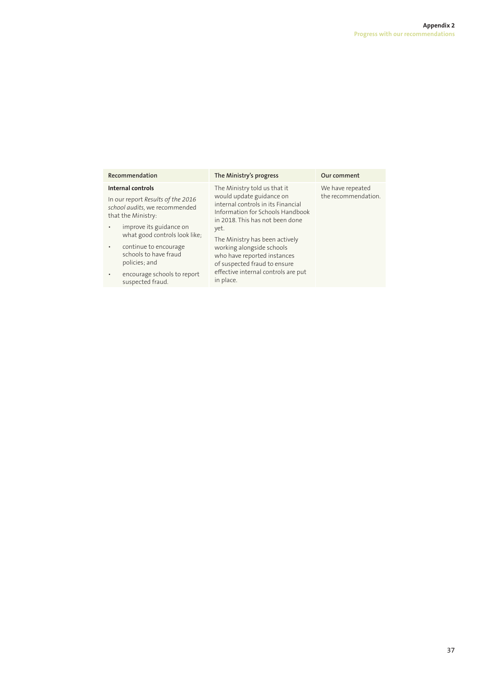| Recommendation                                                                           | The Ministry's progress                                                                                   | Our comment                             |
|------------------------------------------------------------------------------------------|-----------------------------------------------------------------------------------------------------------|-----------------------------------------|
| Internal controls                                                                        | The Ministry told us that it<br>would update guidance on                                                  | We have repeated<br>the recommendation. |
| In our report Results of the 2016<br>school audits, we recommended<br>that the Ministry: | internal controls in its Financial<br>Information for Schools Handbook<br>in 2018. This has not been done |                                         |
| improve its guidance on<br>$\bullet$<br>what good controls look like;                    | yet.<br>The Ministry has been actively                                                                    |                                         |
| continue to encourage<br>$\bullet$<br>schools to have fraud<br>policies; and             | working alongside schools<br>who have reported instances<br>of suspected fraud to ensure                  |                                         |
| encourage schools to report<br>$\bullet$<br>suspected fraud.                             | effective internal controls are put<br>in place.                                                          |                                         |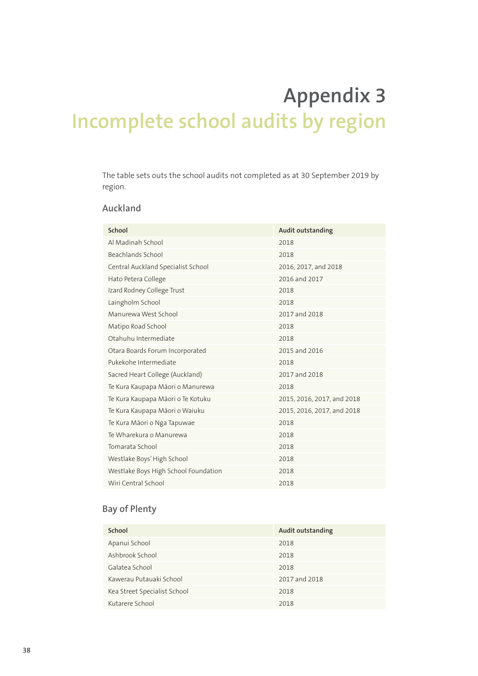# **Appendix 3 Incomplete school audits by region**

The table sets outs the school audits not completed as at 30 September 2019 by region.

### **Auckland**

| School                               | <b>Audit outstanding</b>   |
|--------------------------------------|----------------------------|
| Al Madinah School                    | 2018                       |
| Beachlands School                    | 2018                       |
| Central Auckland Specialist School   | 2016, 2017, and 2018       |
| Hato Petera College                  | 2016 and 2017              |
| Izard Rodney College Trust           | 2018                       |
| Laingholm School                     | 2018                       |
| Manurewa West School                 | 2017 and 2018              |
| Matipo Road School                   | 2018                       |
| Otahuhu Intermediate                 | 2018                       |
| Otara Boards Forum Incorporated      | 2015 and 2016              |
| Pukekohe Intermediate                | 2018                       |
| Sacred Heart College (Auckland)      | 2017 and 2018              |
| Te Kura Kaupapa Māori o Manurewa     | 2018                       |
| Te Kura Kaupapa Māori o Te Kotuku    | 2015, 2016, 2017, and 2018 |
| Te Kura Kaupapa Māori o Waiuku       | 2015, 2016, 2017, and 2018 |
| Te Kura Māori o Nga Tapuwae          | 2018                       |
| Te Wharekura o Manurewa              | 2018                       |
| Tomarata School                      | 2018                       |
| Westlake Boys' High School           | 2018                       |
| Westlake Boys High School Foundation | 2018                       |
| Wiri Central School                  | 2018                       |

### **Bay of Plenty**

| School                       | Audit outstanding |
|------------------------------|-------------------|
| Apanui School                | 2018              |
| Ashbrook School              | 2018              |
| Galatea School               | 2018              |
| Kawerau Putauaki School      | 2017 and 2018     |
| Kea Street Specialist School | 2018              |
| Kutarere School              | 2018              |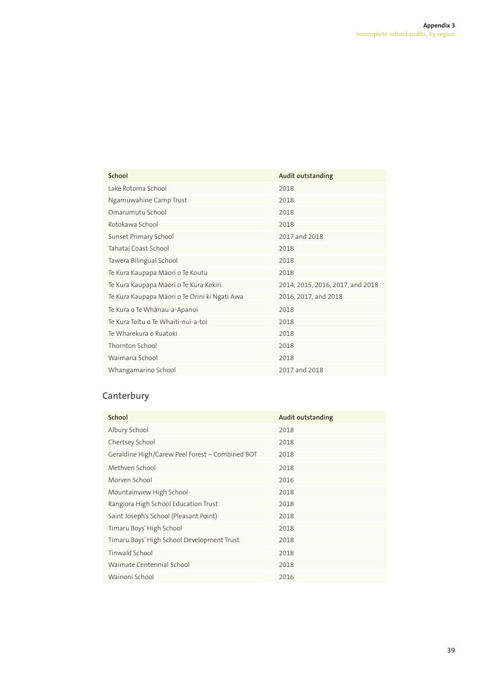| School                                        | Audit outstanding                |
|-----------------------------------------------|----------------------------------|
| Lake Rotoma School                            | 2018                             |
| Ngamuwahine Camp Trust                        | 2018                             |
| Omarumutu School                              | 2018                             |
| Rotokawa School                               | 2018                             |
| Sunset Primary School                         | 2017 and 2018                    |
| Tahatai Coast School                          | 2018                             |
| Tawera Bilingual School                       | 2018                             |
| Te Kura Kaupapa Māori o Te Koutu              | 2018                             |
| Te Kura Kaupapa Māori o Te Kura Kokiri        | 2014, 2015, 2016, 2017, and 2018 |
| Te Kura Kaupapa Māori o Te Orini ki Ngati Awa | 2016, 2017, and 2018             |
| Te Kura o Te Whānau-a-Apanui                  | 2018                             |
| Te Kura Toitu o Te Whaiti-nui-a-toi           | 2018                             |
| Te Wharekura o Ruatoki                        | 2018                             |
| Thornton School                               | 2018                             |
| Waimana School                                | 2018                             |
| Whangamarino School                           | 2017 and 2018                    |

# **Canterbury**

| School                                          | <b>Audit outstanding</b> |
|-------------------------------------------------|--------------------------|
| Albury School                                   | 2018                     |
| Chertsey School                                 | 2018                     |
| Geraldine High/Carew Peel Forest - Combined BOT | 2018                     |
| Methven School                                  | 2018                     |
| Morven School                                   | 2016                     |
| Mountainview High School                        | 2018                     |
| Rangiora High School Education Trust            | 2018                     |
| Saint Joseph's School (Pleasant Point)          | 2018                     |
| Timaru Boys' High School                        | 2018                     |
| Timaru Boys' High School Development Trust      | 2018                     |
| Tinwald School                                  | 2018                     |
| Waimate Centennial School                       | 2018                     |
| Wainoni School                                  | 2016                     |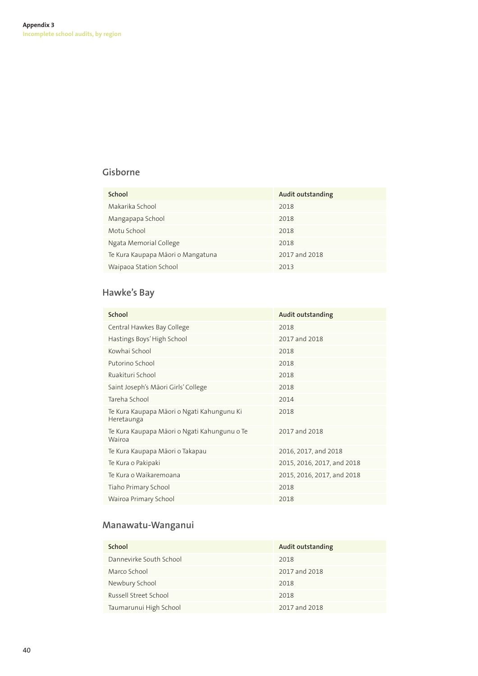### **Gisborne**

| School                            | Audit outstanding |
|-----------------------------------|-------------------|
| Makarika School                   | 2018              |
| Mangapapa School                  | 2018              |
| Motu School                       | 2018              |
| Ngata Memorial College            | 2018              |
| Te Kura Kaupapa Māori o Mangatuna | 2017 and 2018     |
| Waipaoa Station School            | 2013              |

# **Hawke's Bay**

| School                                                   | Audit outstanding          |
|----------------------------------------------------------|----------------------------|
| Central Hawkes Bay College                               | 2018                       |
| Hastings Boys' High School                               | 2017 and 2018              |
| Kowhai School                                            | 2018                       |
| Putorino School                                          | 2018                       |
| Ruakituri School                                         | 2018                       |
| Saint Joseph's Māori Girls' College                      | 2018                       |
| Tareha School                                            | 2014                       |
| Te Kura Kaupapa Māori o Ngati Kahungunu Ki<br>Heretaunga | 2018                       |
| Te Kura Kaupapa Māori o Ngati Kahungunu o Te<br>Wairoa   | 2017 and 2018              |
| Te Kura Kaupapa Māori o Takapau                          | 2016, 2017, and 2018       |
| Te Kura o Pakipaki                                       | 2015, 2016, 2017, and 2018 |
| Te Kura o Waikaremoana                                   | 2015, 2016, 2017, and 2018 |
| Tiaho Primary School                                     | 2018                       |
| Wairoa Primary School                                    | 2018                       |

# **Manawatu-Wanganui**

| School                  | Audit outstanding |
|-------------------------|-------------------|
| Dannevirke South School | 2018              |
| Marco School            | 2017 and 2018     |
| Newbury School          | 2018              |
| Russell Street School   | 2018              |
| Taumarunui High School  | 2017 and 2018     |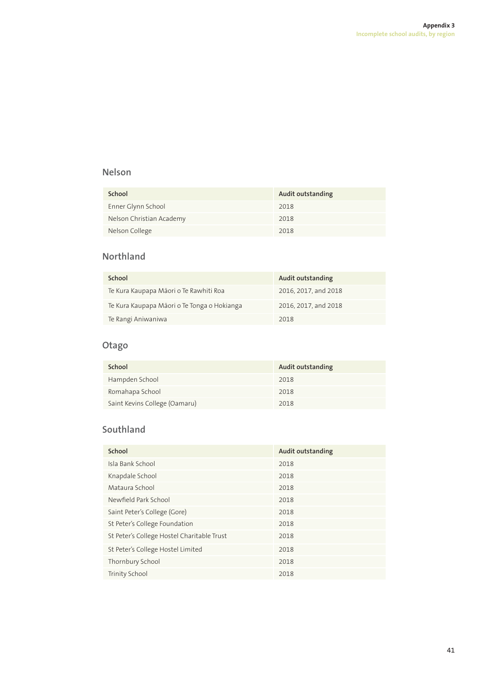### **Nelson**

| School                   | Audit outstanding |
|--------------------------|-------------------|
| Enner Glynn School       | 2018              |
| Nelson Christian Academy | 2018              |
| Nelson College           | 2018              |

### **Northland**

| School                                      | Audit outstanding    |
|---------------------------------------------|----------------------|
| Te Kura Kaupapa Māori o Te Rawhiti Roa      | 2016, 2017, and 2018 |
| Te Kura Kaupapa Māori o Te Tonga o Hokianga | 2016, 2017, and 2018 |
| Te Rangi Aniwaniwa                          | 2018                 |

### **Otago**

| School                        | <b>Audit outstanding</b> |
|-------------------------------|--------------------------|
| Hampden School                | 2018                     |
| Romahapa School               | 2018                     |
| Saint Kevins College (Oamaru) | 2018                     |

# **Southland**

| School                                     | Audit outstanding |
|--------------------------------------------|-------------------|
| Isla Bank School                           | 2018              |
| Knapdale School                            | 2018              |
| Mataura School                             | 2018              |
| Newfield Park School                       | 2018              |
| Saint Peter's College (Gore)               | 2018              |
| St Peter's College Foundation              | 2018              |
| St Peter's College Hostel Charitable Trust | 2018              |
| St Peter's College Hostel Limited          | 2018              |
| Thornbury School                           | 2018              |
| <b>Trinity School</b>                      | 2018              |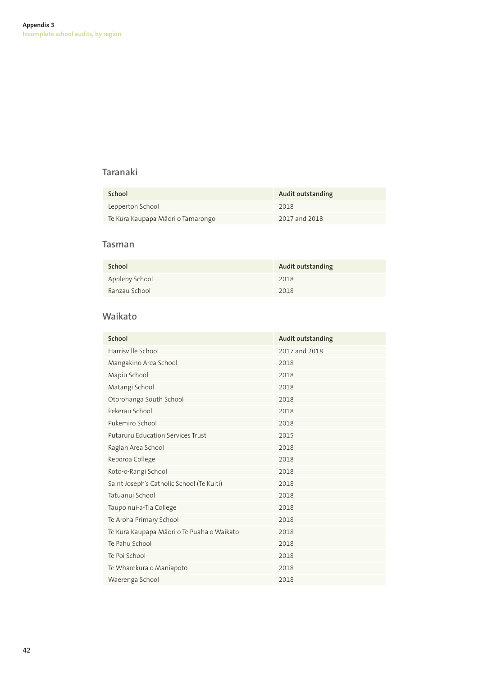### **Taranaki**

| School                            | Audit outstanding |
|-----------------------------------|-------------------|
| Lepperton School                  | 2018              |
| Te Kura Kaupapa Māori o Tamarongo | 2017 and 2018     |

### **Tasman**

| School         | Audit outstanding |
|----------------|-------------------|
| Appleby School | 2018              |
| Ranzau School  | 2018              |

### **Waikato**

| School                                     | <b>Audit outstanding</b> |
|--------------------------------------------|--------------------------|
| Harrisville School                         | 2017 and 2018            |
| Mangakino Area School                      | 2018                     |
| Mapiu School                               | 2018                     |
| Matangi School                             | 2018                     |
| Otorohanga South School                    | 2018                     |
| Pekerau School                             | 2018                     |
| Pukemiro School                            | 2018                     |
| <b>Putaruru Education Services Trust</b>   | 2015                     |
| Raglan Area School                         | 2018                     |
| Reporoa College                            | 2018                     |
| Roto-o-Rangi School                        | 2018                     |
| Saint Joseph's Catholic School (Te Kuiti)  | 2018                     |
| Tatuanui School                            | 2018                     |
| Taupo nui-a-Tia College                    | 2018                     |
| Te Aroha Primary School                    | 2018                     |
| Te Kura Kaupapa Māori o Te Puaha o Waikato | 2018                     |
| Te Pahu School                             | 2018                     |
| Te Poi School                              | 2018                     |
| Te Wharekura o Maniapoto                   | 2018                     |
| Waerenga School                            | 2018                     |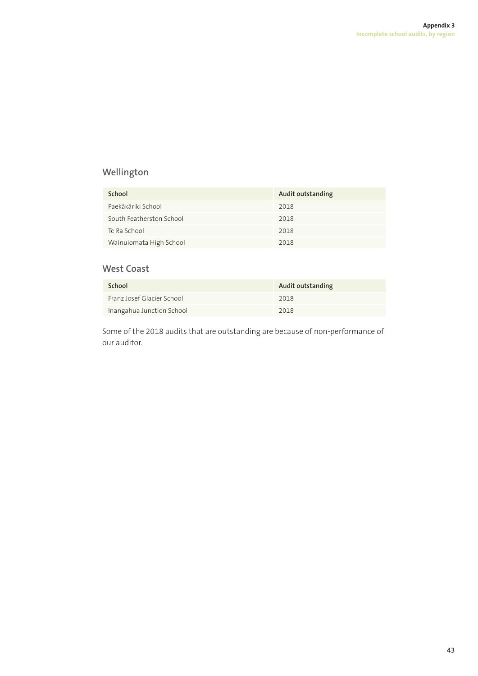# **Wellington**

| School                   | Audit outstanding |
|--------------------------|-------------------|
| Paekākāriki School       | 2018              |
| South Featherston School | 2018              |
| Te Ra School             | 2018              |
| Wainuiomata High School  | 2018              |

### **West Coast**

| School                     | Audit outstanding |
|----------------------------|-------------------|
| Franz Josef Glacier School | 2018              |
| Inangahua Junction School  | 2018              |

Some of the 2018 audits that are outstanding are because of non-performance of our auditor.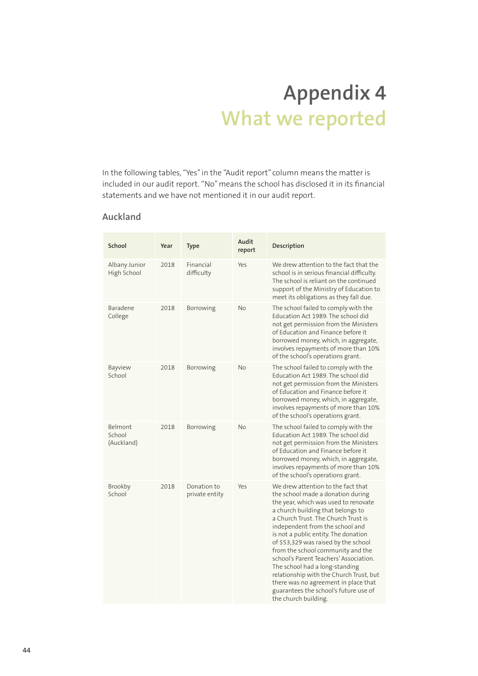# **Appendix 4 What we reported**

In the following tables, "Yes" in the "Audit report" column means the matter is included in our audit report. "No" means the school has disclosed it in its financial statements and we have not mentioned it in our audit report.

### **Auckland**

| School                          | Year | <b>Type</b>                   | Audit<br>report | Description                                                                                                                                                                                                                                                                                                                                                                                                                                                                                                                                                                         |
|---------------------------------|------|-------------------------------|-----------------|-------------------------------------------------------------------------------------------------------------------------------------------------------------------------------------------------------------------------------------------------------------------------------------------------------------------------------------------------------------------------------------------------------------------------------------------------------------------------------------------------------------------------------------------------------------------------------------|
| Albany Junior<br>High School    | 2018 | Financial<br>difficulty       | Yes             | We drew attention to the fact that the<br>school is in serious financial difficulty.<br>The school is reliant on the continued<br>support of the Ministry of Education to<br>meet its obligations as they fall due.                                                                                                                                                                                                                                                                                                                                                                 |
| Baradene<br>College             | 2018 | Borrowing                     | No              | The school failed to comply with the<br>Education Act 1989. The school did<br>not get permission from the Ministers<br>of Education and Finance before it<br>borrowed money, which, in aggregate,<br>involves repayments of more than 10%<br>of the school's operations grant.                                                                                                                                                                                                                                                                                                      |
| Bayview<br>School               | 2018 | Borrowing                     | No              | The school failed to comply with the<br>Education Act 1989. The school did<br>not get permission from the Ministers<br>of Education and Finance before it<br>borrowed money, which, in aggregate,<br>involves repayments of more than 10%<br>of the school's operations grant.                                                                                                                                                                                                                                                                                                      |
| Belmont<br>School<br>(Auckland) | 2018 | Borrowing                     | No              | The school failed to comply with the<br>Education Act 1989. The school did<br>not get permission from the Ministers<br>of Education and Finance before it<br>borrowed money, which, in aggregate,<br>involves repayments of more than 10%<br>of the school's operations grant.                                                                                                                                                                                                                                                                                                      |
| Brookby<br>School               | 2018 | Donation to<br>private entity | Yes             | We drew attention to the fact that<br>the school made a donation during<br>the year, which was used to renovate<br>a church building that belongs to<br>a Church Trust. The Church Trust is<br>independent from the school and<br>is not a public entity. The donation<br>of \$53,329 was raised by the school<br>from the school community and the<br>school's Parent Teachers' Association.<br>The school had a long-standing<br>relationship with the Church Trust, but<br>there was no agreement in place that<br>guarantees the school's future use of<br>the church building. |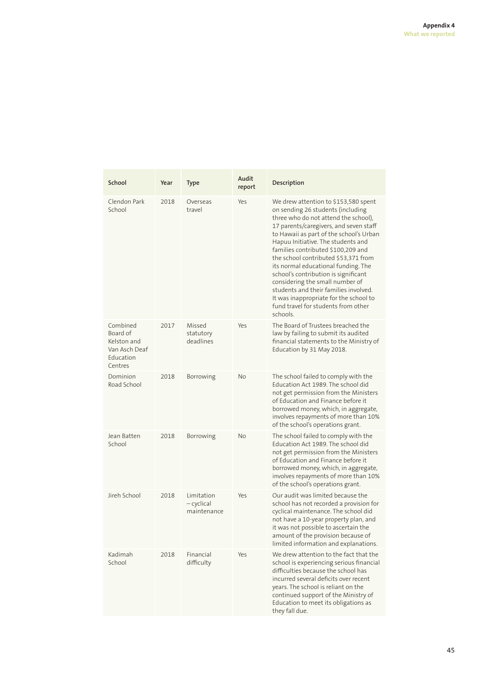| School                                                                       | Year | <b>Type</b>                             | <b>Audit</b><br>report | Description                                                                                                                                                                                                                                                                                                                                                                                                                                                                                                                                                                        |
|------------------------------------------------------------------------------|------|-----------------------------------------|------------------------|------------------------------------------------------------------------------------------------------------------------------------------------------------------------------------------------------------------------------------------------------------------------------------------------------------------------------------------------------------------------------------------------------------------------------------------------------------------------------------------------------------------------------------------------------------------------------------|
| Clendon Park<br>School                                                       | 2018 | Overseas<br>travel                      | Yes                    | We drew attention to \$153,580 spent<br>on sending 26 students (including<br>three who do not attend the school),<br>17 parents/caregivers, and seven staff<br>to Hawaii as part of the school's Urban<br>Hapuu Initiative. The students and<br>families contributed \$100,209 and<br>the school contributed \$53,371 from<br>its normal educational funding. The<br>school's contribution is significant<br>considering the small number of<br>students and their families involved.<br>It was inappropriate for the school to<br>fund travel for students from other<br>schools. |
| Combined<br>Board of<br>Kelston and<br>Van Asch Deaf<br>Education<br>Centres | 2017 | Missed<br>statutory<br>deadlines        | Yes                    | The Board of Trustees breached the<br>law by failing to submit its audited<br>financial statements to the Ministry of<br>Education by 31 May 2018.                                                                                                                                                                                                                                                                                                                                                                                                                                 |
| Dominion<br>Road School                                                      | 2018 | Borrowing                               | <b>No</b>              | The school failed to comply with the<br>Education Act 1989. The school did<br>not get permission from the Ministers<br>of Education and Finance before it<br>borrowed money, which, in aggregate,<br>involves repayments of more than 10%<br>of the school's operations grant.                                                                                                                                                                                                                                                                                                     |
| Jean Batten<br>School                                                        | 2018 | Borrowing                               | <b>No</b>              | The school failed to comply with the<br>Education Act 1989. The school did<br>not get permission from the Ministers<br>of Education and Finance before it<br>borrowed money, which, in aggregate,<br>involves repayments of more than 10%<br>of the school's operations grant.                                                                                                                                                                                                                                                                                                     |
| Jireh School                                                                 | 2018 | Limitation<br>- cyclical<br>maintenance | Yes                    | Our audit was limited because the<br>school has not recorded a provision for<br>cyclical maintenance. The school did<br>not have a 10-year property plan, and<br>it was not possible to ascertain the<br>amount of the provision because of<br>limited information and explanations.                                                                                                                                                                                                                                                                                               |
| Kadimah<br>School                                                            | 2018 | Financial<br>difficulty                 | Yes                    | We drew attention to the fact that the<br>school is experiencing serious financial<br>difficulties because the school has<br>incurred several deficits over recent<br>years. The school is reliant on the<br>continued support of the Ministry of<br>Education to meet its obligations as<br>they fall due.                                                                                                                                                                                                                                                                        |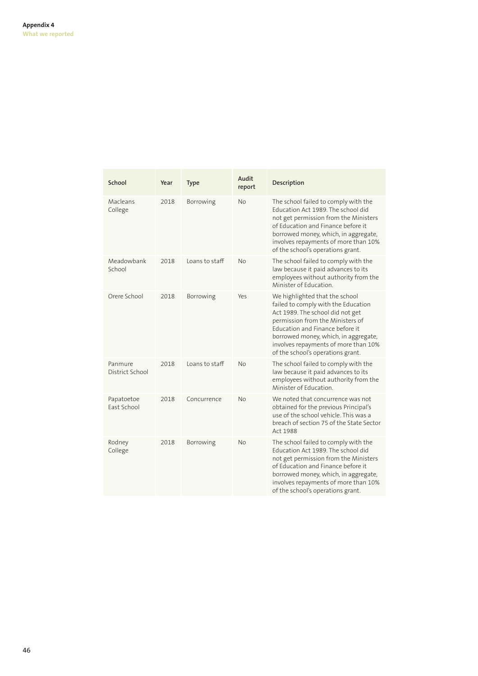| School                     | Year | <b>Type</b>    | Audit<br>report | Description                                                                                                                                                                                                                                                                                           |
|----------------------------|------|----------------|-----------------|-------------------------------------------------------------------------------------------------------------------------------------------------------------------------------------------------------------------------------------------------------------------------------------------------------|
| Macleans<br>College        | 2018 | Borrowing      | No              | The school failed to comply with the<br>Education Act 1989. The school did<br>not get permission from the Ministers<br>of Education and Finance before it<br>borrowed money, which, in aggregate,<br>involves repayments of more than 10%<br>of the school's operations grant.                        |
| Meadowbank<br>School       | 2018 | Loans to staff | <b>No</b>       | The school failed to comply with the<br>law because it paid advances to its<br>employees without authority from the<br>Minister of Education.                                                                                                                                                         |
| Orere School               | 2018 | Borrowing      | Yes             | We highlighted that the school<br>failed to comply with the Education<br>Act 1989. The school did not get<br>permission from the Ministers of<br>Education and Finance before it<br>borrowed money, which, in aggregate,<br>involves repayments of more than 10%<br>of the school's operations grant. |
| Panmure<br>District School | 2018 | Loans to staff | <b>No</b>       | The school failed to comply with the<br>law because it paid advances to its<br>employees without authority from the<br>Minister of Education.                                                                                                                                                         |
| Papatoetoe<br>East School  | 2018 | Concurrence    | No              | We noted that concurrence was not<br>obtained for the previous Principal's<br>use of the school vehicle. This was a<br>breach of section 75 of the State Sector<br>Act 1988                                                                                                                           |
| Rodney<br>College          | 2018 | Borrowing      | <b>No</b>       | The school failed to comply with the<br>Education Act 1989. The school did<br>not get permission from the Ministers<br>of Education and Finance before it<br>borrowed money, which, in aggregate,<br>involves repayments of more than 10%<br>of the school's operations grant.                        |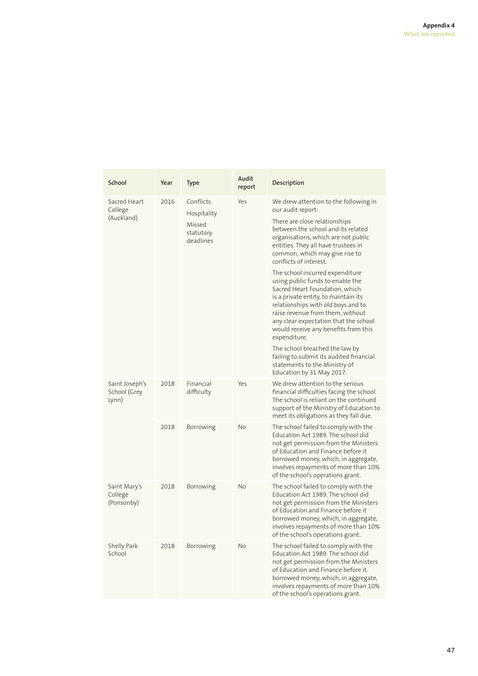| School                                  | Year | <b>Type</b>                                                  | Audit<br>report | Description                                                                                                                                                                                                                                                                                                                                                                                                                                                                                                                                                                                                                               |
|-----------------------------------------|------|--------------------------------------------------------------|-----------------|-------------------------------------------------------------------------------------------------------------------------------------------------------------------------------------------------------------------------------------------------------------------------------------------------------------------------------------------------------------------------------------------------------------------------------------------------------------------------------------------------------------------------------------------------------------------------------------------------------------------------------------------|
| Sacred Heart<br>College<br>(Auckland)   | 2016 | Conflicts<br>Hospitality<br>Missed<br>statutory<br>deadlines | Yes             | We drew attention to the following in<br>our audit report:<br>There are close relationships<br>between the school and its related<br>organisations, which are not public<br>entities. They all have trustees in<br>common, which may give rise to<br>conflicts of interest.<br>The school incurred expenditure<br>using public funds to enable the<br>Sacred Heart Foundation, which<br>is a private entity, to maintain its<br>relationships with old boys and to<br>raise revenue from them, without<br>any clear expectation that the school<br>would receive any benefits from this<br>expenditure.<br>The school breached the law by |
|                                         |      |                                                              |                 | failing to submit its audited financial<br>statements to the Ministry of<br>Education by 31 May 2017.                                                                                                                                                                                                                                                                                                                                                                                                                                                                                                                                     |
| Saint Joseph's<br>School (Grey<br>Lynn) | 2018 | Financial<br>difficulty                                      | Yes             | We drew attention to the serious<br>financial difficulties facing the school.<br>The school is reliant on the continued<br>support of the Ministry of Education to<br>meet its obligations as they fall due.                                                                                                                                                                                                                                                                                                                                                                                                                              |
|                                         | 2018 | Borrowing                                                    | No              | The school failed to comply with the<br>Education Act 1989. The school did<br>not get permission from the Ministers<br>of Education and Finance before it<br>borrowed money, which, in aggregate,<br>involves repayments of more than 10%<br>of the school's operations grant.                                                                                                                                                                                                                                                                                                                                                            |
| Saint Mary's<br>College<br>(Ponsonby)   | 2018 | <b>Borrowing</b>                                             | No              | The school failed to comply with the<br>Education Act 1989. The school did<br>not get permission from the Ministers<br>of Education and Finance before it<br>borrowed money, which, in aggregate,<br>involves repayments of more than 10%<br>of the school's operations grant.                                                                                                                                                                                                                                                                                                                                                            |
| Shelly Park<br>School                   | 2018 | Borrowing                                                    | No              | The school failed to comply with the<br>Education Act 1989. The school did<br>not get permission from the Ministers<br>of Education and Finance before it<br>borrowed money, which, in aggregate,<br>involves repayments of more than 10%<br>of the school's operations grant.                                                                                                                                                                                                                                                                                                                                                            |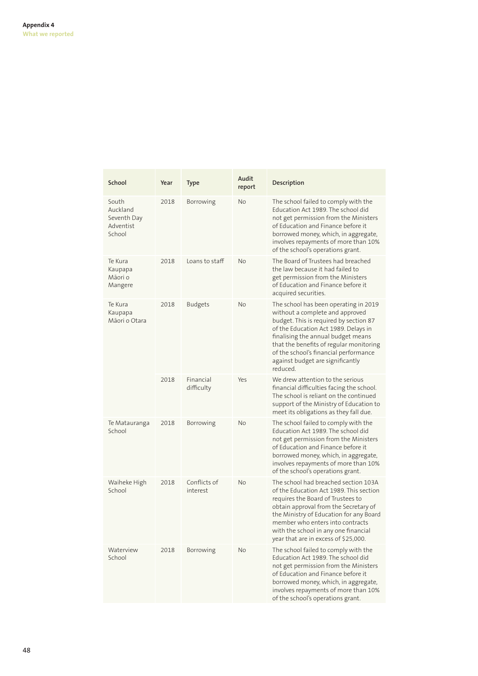| School                                                  | Year | Type                     | <b>Audit</b><br>report | Description                                                                                                                                                                                                                                                                                                                          |
|---------------------------------------------------------|------|--------------------------|------------------------|--------------------------------------------------------------------------------------------------------------------------------------------------------------------------------------------------------------------------------------------------------------------------------------------------------------------------------------|
| South<br>Auckland<br>Seventh Day<br>Adventist<br>School | 2018 | Borrowing                | No                     | The school failed to comply with the<br>Education Act 1989. The school did<br>not get permission from the Ministers<br>of Education and Finance before it<br>borrowed money, which, in aggregate,<br>involves repayments of more than 10%<br>of the school's operations grant.                                                       |
| Te Kura<br>Kaupapa<br>Māori o<br>Mangere                | 2018 | Loans to staff           | <b>No</b>              | The Board of Trustees had breached<br>the law because it had failed to<br>get permission from the Ministers<br>of Education and Finance before it<br>acquired securities.                                                                                                                                                            |
| Te Kura<br>Kaupapa<br>Mãori o Otara                     | 2018 | <b>Budgets</b>           | No                     | The school has been operating in 2019<br>without a complete and approved<br>budget. This is required by section 87<br>of the Education Act 1989. Delays in<br>finalising the annual budget means<br>that the benefits of regular monitoring<br>of the school's financial performance<br>against budget are significantly<br>reduced. |
|                                                         | 2018 | Financial<br>difficulty  | Yes                    | We drew attention to the serious<br>financial difficulties facing the school.<br>The school is reliant on the continued<br>support of the Ministry of Education to<br>meet its obligations as they fall due.                                                                                                                         |
| Te Matauranga<br>School                                 | 2018 | Borrowing                | <b>No</b>              | The school failed to comply with the<br>Education Act 1989. The school did<br>not get permission from the Ministers<br>of Education and Finance before it<br>borrowed money, which, in aggregate,<br>involves repayments of more than 10%<br>of the school's operations grant.                                                       |
| Waiheke High<br>School                                  | 2018 | Conflicts of<br>interest | <b>No</b>              | The school had breached section 103A<br>of the Education Act 1989. This section<br>requires the Board of Trustees to<br>obtain approval from the Secretary of<br>the Ministry of Education for any Board<br>member who enters into contracts<br>with the school in any one financial<br>year that are in excess of \$25,000.         |
| Waterview<br>School                                     | 2018 | Borrowing                | No                     | The school failed to comply with the<br>Education Act 1989. The school did<br>not get permission from the Ministers<br>of Education and Finance before it<br>borrowed money, which, in aggregate,<br>involves repayments of more than 10%<br>of the school's operations grant.                                                       |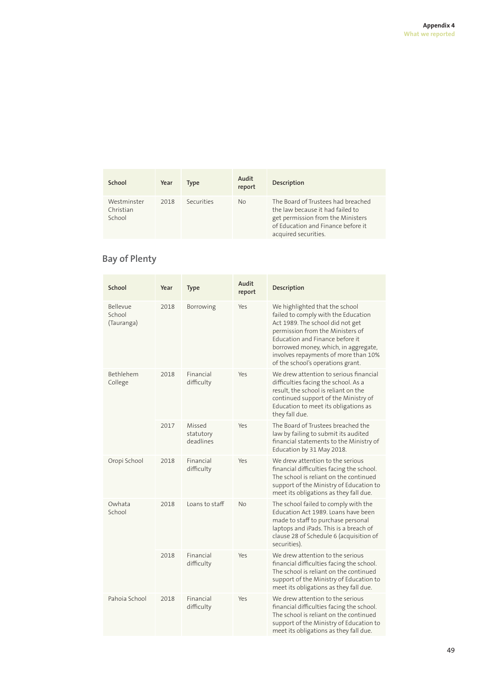| School                             | Year | Type       | Audit<br>report | Description                                                                                                                                                               |
|------------------------------------|------|------------|-----------------|---------------------------------------------------------------------------------------------------------------------------------------------------------------------------|
| Westminster<br>Christian<br>School | 2018 | Securities | No.             | The Board of Trustees had breached<br>the law because it had failed to<br>get permission from the Ministers<br>of Education and Finance before it<br>acquired securities. |

# **Bay of Plenty**

| School                           | Year | <b>Type</b>                      | Audit<br>report | Description                                                                                                                                                                                                                                                                                           |
|----------------------------------|------|----------------------------------|-----------------|-------------------------------------------------------------------------------------------------------------------------------------------------------------------------------------------------------------------------------------------------------------------------------------------------------|
| Bellevue<br>School<br>(Tauranga) | 2018 | Borrowing                        | Yes             | We highlighted that the school<br>failed to comply with the Education<br>Act 1989. The school did not get<br>permission from the Ministers of<br>Education and Finance before it<br>borrowed money, which, in aggregate,<br>involves repayments of more than 10%<br>of the school's operations grant. |
| Bethlehem<br>College             | 2018 | Financial<br>difficulty          | Yes             | We drew attention to serious financial<br>difficulties facing the school. As a<br>result, the school is reliant on the<br>continued support of the Ministry of<br>Education to meet its obligations as<br>they fall due.                                                                              |
|                                  | 2017 | Missed<br>statutory<br>deadlines | Yes             | The Board of Trustees breached the<br>law by failing to submit its audited<br>financial statements to the Ministry of<br>Education by 31 May 2018.                                                                                                                                                    |
| Oropi School                     | 2018 | Financial<br>difficulty          | Yes             | We drew attention to the serious<br>financial difficulties facing the school.<br>The school is reliant on the continued<br>support of the Ministry of Education to<br>meet its obligations as they fall due.                                                                                          |
| Owhata<br>School                 | 2018 | Loans to staff                   | <b>No</b>       | The school failed to comply with the<br>Education Act 1989. Loans have been<br>made to staff to purchase personal<br>laptops and iPads. This is a breach of<br>clause 28 of Schedule 6 (acquisition of<br>securities).                                                                                |
|                                  | 2018 | Financial<br>difficulty          | Yes             | We drew attention to the serious<br>financial difficulties facing the school.<br>The school is reliant on the continued<br>support of the Ministry of Education to<br>meet its obligations as they fall due.                                                                                          |
| Pahoia School                    | 2018 | Financial<br>difficulty          | Yes             | We drew attention to the serious<br>financial difficulties facing the school.<br>The school is reliant on the continued<br>support of the Ministry of Education to<br>meet its obligations as they fall due.                                                                                          |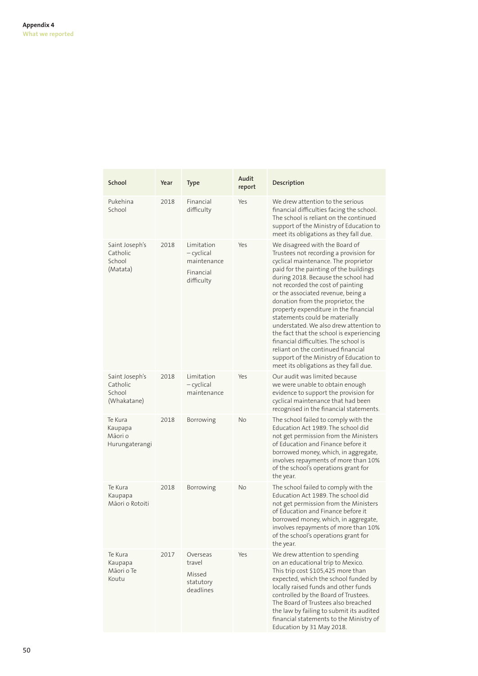| School                                              | Year | <b>Type</b>                                                        | Audit<br>report | Description                                                                                                                                                                                                                                                                                                                                                                                                                                                                                                                                                                                                                                            |
|-----------------------------------------------------|------|--------------------------------------------------------------------|-----------------|--------------------------------------------------------------------------------------------------------------------------------------------------------------------------------------------------------------------------------------------------------------------------------------------------------------------------------------------------------------------------------------------------------------------------------------------------------------------------------------------------------------------------------------------------------------------------------------------------------------------------------------------------------|
| Pukehina<br>School                                  | 2018 | Financial<br>difficulty                                            | Yes             | We drew attention to the serious<br>financial difficulties facing the school.<br>The school is reliant on the continued<br>support of the Ministry of Education to<br>meet its obligations as they fall due.                                                                                                                                                                                                                                                                                                                                                                                                                                           |
| Saint Joseph's<br>Catholic<br>School<br>(Matata)    | 2018 | Limitation<br>- cyclical<br>maintenance<br>Financial<br>difficulty | Yes             | We disagreed with the Board of<br>Trustees not recording a provision for<br>cyclical maintenance. The proprietor<br>paid for the painting of the buildings<br>during 2018. Because the school had<br>not recorded the cost of painting<br>or the associated revenue, being a<br>donation from the proprietor, the<br>property expenditure in the financial<br>statements could be materially<br>understated. We also drew attention to<br>the fact that the school is experiencing<br>financial difficulties. The school is<br>reliant on the continued financial<br>support of the Ministry of Education to<br>meet its obligations as they fall due. |
| Saint Joseph's<br>Catholic<br>School<br>(Whakatane) | 2018 | Limitation<br>$-cyclical$<br>maintenance                           | Yes             | Our audit was limited because<br>we were unable to obtain enough<br>evidence to support the provision for<br>cyclical maintenance that had been<br>recognised in the financial statements.                                                                                                                                                                                                                                                                                                                                                                                                                                                             |
| Te Kura<br>Kaupapa<br>Māori o<br>Hurungaterangi     | 2018 | Borrowing                                                          | <b>No</b>       | The school failed to comply with the<br>Education Act 1989. The school did<br>not get permission from the Ministers<br>of Education and Finance before it<br>borrowed money, which, in aggregate,<br>involves repayments of more than 10%<br>of the school's operations grant for<br>the year.                                                                                                                                                                                                                                                                                                                                                         |
| Te Kura<br>Kaupapa<br>Māori o Rotoiti               | 2018 | Borrowing                                                          | <b>No</b>       | The school failed to comply with the<br>Education Act 1989. The school did<br>not get permission from the Ministers<br>of Education and Finance before it<br>borrowed money, which, in aggregate,<br>involves repayments of more than 10%<br>of the school's operations grant for<br>the year.                                                                                                                                                                                                                                                                                                                                                         |
| Te Kura<br>Kaupapa<br>Māori o Te<br>Koutu           | 2017 | Overseas<br>travel<br>Missed<br>statutory<br>deadlines             | Yes             | We drew attention to spending<br>on an educational trip to Mexico.<br>This trip cost \$105,425 more than<br>expected, which the school funded by<br>locally raised funds and other funds<br>controlled by the Board of Trustees.<br>The Board of Trustees also breached<br>the law by failing to submit its audited<br>financial statements to the Ministry of<br>Education by 31 May 2018.                                                                                                                                                                                                                                                            |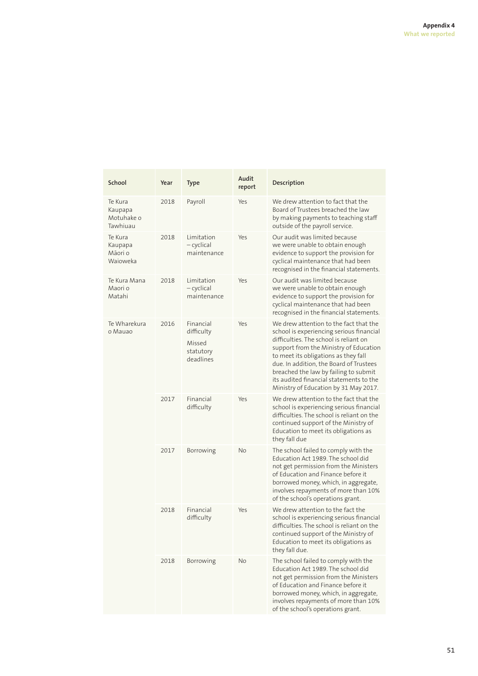| School                                       | Year | Type                                                        | Audit<br>report | Description                                                                                                                                                                                                                                                                                                                                                                            |
|----------------------------------------------|------|-------------------------------------------------------------|-----------------|----------------------------------------------------------------------------------------------------------------------------------------------------------------------------------------------------------------------------------------------------------------------------------------------------------------------------------------------------------------------------------------|
| Te Kura<br>Kaupapa<br>Motuhake o<br>Tawhiuau | 2018 | Payroll                                                     | Yes             | We drew attention to fact that the<br>Board of Trustees breached the law<br>by making payments to teaching staff<br>outside of the payroll service.                                                                                                                                                                                                                                    |
| Te Kura<br>Kaupapa<br>Māori o<br>Wajoweka    | 2018 | Limitation<br>— cyclical<br>maintenance                     | Yes             | Our audit was limited because<br>we were unable to obtain enough<br>evidence to support the provision for<br>cyclical maintenance that had been<br>recognised in the financial statements.                                                                                                                                                                                             |
| Te Kura Mana<br>Maori o<br>Matahi            | 2018 | Limitation<br>$-$ cyclical<br>maintenance                   | Yes             | Our audit was limited because<br>we were unable to obtain enough<br>evidence to support the provision for<br>cyclical maintenance that had been<br>recognised in the financial statements.                                                                                                                                                                                             |
| Te Wharekura<br>o Mauao                      | 2016 | Financial<br>difficulty<br>Missed<br>statutory<br>deadlines | Yes             | We drew attention to the fact that the<br>school is experiencing serious financial<br>difficulties. The school is reliant on<br>support from the Ministry of Education<br>to meet its obligations as they fall<br>due. In addition, the Board of Trustees<br>breached the law by failing to submit<br>its audited financial statements to the<br>Ministry of Education by 31 May 2017. |
|                                              | 2017 | Financial<br>difficulty                                     | Yes             | We drew attention to the fact that the<br>school is experiencing serious financial<br>difficulties. The school is reliant on the<br>continued support of the Ministry of<br>Education to meet its obligations as<br>they fall due                                                                                                                                                      |
|                                              | 2017 | Borrowing                                                   | No              | The school failed to comply with the<br>Education Act 1989. The school did<br>not get permission from the Ministers<br>of Education and Finance before it<br>borrowed money, which, in aggregate,<br>involves repayments of more than 10%<br>of the school's operations grant.                                                                                                         |
|                                              | 2018 | Financial<br>difficulty                                     | Yes             | We drew attention to the fact the<br>school is experiencing serious financial<br>difficulties. The school is reliant on the<br>continued support of the Ministry of<br>Education to meet its obligations as<br>they fall due.                                                                                                                                                          |
|                                              | 2018 | Borrowing                                                   | No              | The school failed to comply with the<br>Education Act 1989. The school did<br>not get permission from the Ministers<br>of Education and Finance before it<br>borrowed money, which, in aggregate,<br>involves repayments of more than 10%<br>of the school's operations grant.                                                                                                         |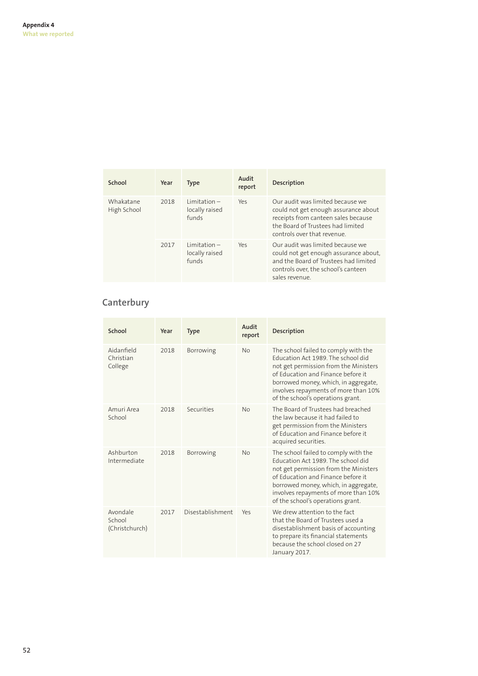| School                   | Year                            | <b>Type</b>                               | Audit<br>report | Description                                                                                                                                                                         |
|--------------------------|---------------------------------|-------------------------------------------|-----------------|-------------------------------------------------------------------------------------------------------------------------------------------------------------------------------------|
| Whakatane<br>High School | $limitation -$<br>2018<br>funds | locally raised                            | Yes             | Our audit was limited because we<br>could not get enough assurance about<br>receipts from canteen sales because<br>the Board of Trustees had limited<br>controls over that revenue. |
|                          | 2017                            | $limitation -$<br>locally raised<br>funds | Yes             | Our audit was limited because we<br>could not get enough assurance about,<br>and the Board of Trustees had limited<br>controls over, the school's canteen<br>sales revenue.         |

# **Canterbury**

| School                               | Year | <b>Type</b>      | Audit<br>report | Description                                                                                                                                                                                                                                                                    |
|--------------------------------------|------|------------------|-----------------|--------------------------------------------------------------------------------------------------------------------------------------------------------------------------------------------------------------------------------------------------------------------------------|
| Aidanfield<br>Christian<br>College   | 2018 | Borrowing        | No              | The school failed to comply with the<br>Education Act 1989 The school did<br>not get permission from the Ministers<br>of Education and Finance before it<br>borrowed money, which, in aggregate,<br>involves repayments of more than 10%<br>of the school's operations grant.  |
| Amuri Area<br>School                 | 2018 | Securities       | No              | The Board of Trustees had breached<br>the law because it had failed to<br>get permission from the Ministers<br>of Education and Finance before it<br>acquired securities.                                                                                                      |
| Ashburton<br>Intermediate            | 2018 | Borrowing        | No              | The school failed to comply with the<br>Education Act 1989. The school did<br>not get permission from the Ministers<br>of Education and Finance before it<br>borrowed money, which, in aggregate,<br>involves repayments of more than 10%<br>of the school's operations grant. |
| Avondale<br>School<br>(Christchurch) | 2017 | Disestablishment | Yes             | We drew attention to the fact<br>that the Board of Trustees used a<br>disestablishment basis of accounting<br>to prepare its financial statements<br>because the school closed on 27<br>January 2017.                                                                          |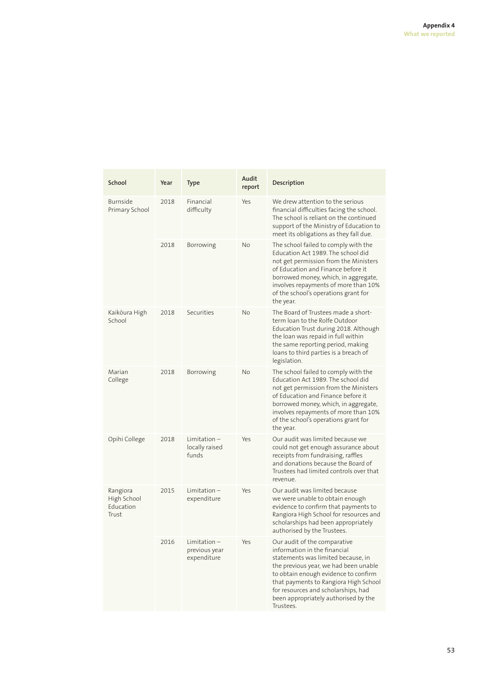| School                                        | Year | Type                                         | Audit<br>report | Description                                                                                                                                                                                                                                                                                                              |
|-----------------------------------------------|------|----------------------------------------------|-----------------|--------------------------------------------------------------------------------------------------------------------------------------------------------------------------------------------------------------------------------------------------------------------------------------------------------------------------|
| Burnside<br>Primary School                    | 2018 | Financial<br>difficulty                      | Yes             | We drew attention to the serious<br>financial difficulties facing the school.<br>The school is reliant on the continued<br>support of the Ministry of Education to<br>meet its obligations as they fall due.                                                                                                             |
|                                               | 2018 | Borrowing                                    | <b>No</b>       | The school failed to comply with the<br>Education Act 1989. The school did<br>not get permission from the Ministers<br>of Education and Finance before it<br>borrowed money, which, in aggregate,<br>involves repayments of more than 10%<br>of the school's operations grant for<br>the year.                           |
| Kaikōura High<br>School                       | 2018 | Securities                                   | <b>No</b>       | The Board of Trustees made a short-<br>term loan to the Rolfe Outdoor<br>Education Trust during 2018. Although<br>the loan was repaid in full within<br>the same reporting period, making<br>loans to third parties is a breach of<br>legislation.                                                                       |
| Marian<br>College                             | 2018 | Borrowing                                    | <b>No</b>       | The school failed to comply with the<br>Education Act 1989. The school did<br>not get permission from the Ministers<br>of Education and Finance before it<br>borrowed money, which, in aggregate,<br>involves repayments of more than 10%<br>of the school's operations grant for<br>the year.                           |
| Opihi College                                 | 2018 | $Limitation -$<br>locally raised<br>funds    | Yes             | Our audit was limited because we<br>could not get enough assurance about<br>receipts from fundraising, raffles<br>and donations because the Board of<br>Trustees had limited controls over that<br>revenue.                                                                                                              |
| Rangiora<br>High School<br>Education<br>Trust | 2015 | $Limitation -$<br>expenditure                | Yes             | Our audit was limited because<br>we were unable to obtain enough<br>evidence to confirm that payments to<br>Rangiora High School for resources and<br>scholarships had been appropriately<br>authorised by the Trustees.                                                                                                 |
|                                               | 2016 | Limitation –<br>previous year<br>expenditure | Yes             | Our audit of the comparative<br>information in the financial<br>statements was limited because, in<br>the previous year, we had been unable<br>to obtain enough evidence to confirm<br>that payments to Rangiora High School<br>for resources and scholarships, had<br>been appropriately authorised by the<br>Trustees. |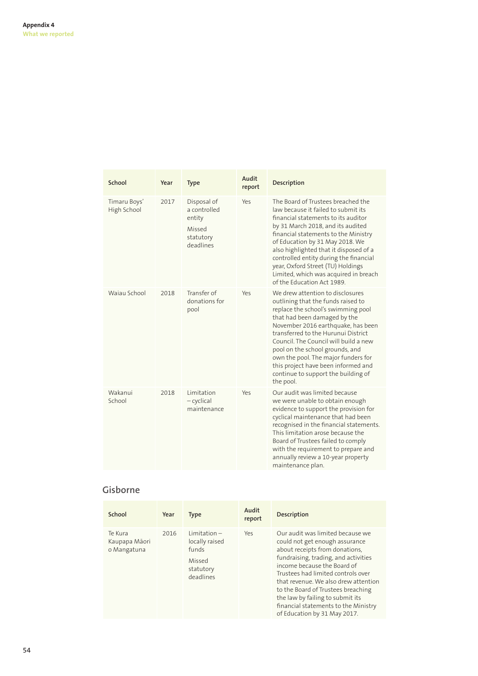| School                      | Year | <b>Type</b>                                                               | Audit<br>report | Description                                                                                                                                                                                                                                                                                                                                                                                                                             |
|-----------------------------|------|---------------------------------------------------------------------------|-----------------|-----------------------------------------------------------------------------------------------------------------------------------------------------------------------------------------------------------------------------------------------------------------------------------------------------------------------------------------------------------------------------------------------------------------------------------------|
| Timaru Boys'<br>High School | 2017 | Disposal of<br>a controlled<br>entity<br>Missed<br>statutory<br>deadlines | Yes             | The Board of Trustees breached the<br>law because it failed to submit its<br>financial statements to its auditor<br>by 31 March 2018, and its audited<br>financial statements to the Ministry<br>of Education by 31 May 2018. We<br>also highlighted that it disposed of a<br>controlled entity during the financial<br>year, Oxford Street (TU) Holdings<br>Limited, which was acquired in breach<br>of the Education Act 1989.        |
| Wajau School                | 2018 | Transfer of<br>donations for<br>pool                                      | Yes             | We drew attention to disclosures<br>outlining that the funds raised to<br>replace the school's swimming pool<br>that had been damaged by the<br>November 2016 earthquake, has been<br>transferred to the Hurunui District<br>Council. The Council will build a new<br>pool on the school grounds, and<br>own the pool. The major funders for<br>this project have been informed and<br>continue to support the building of<br>the pool. |
| Wakanui<br>School           | 2018 | Limitation<br>$-cyclical$<br>maintenance                                  | Yes             | Our audit was limited because<br>we were unable to obtain enough<br>evidence to support the provision for<br>cyclical maintenance that had been<br>recognised in the financial statements.<br>This limitation arose because the<br>Board of Trustees failed to comply<br>with the requirement to prepare and<br>annually review a 10-year property<br>maintenance plan.                                                                 |

# **Gisborne**

| School                                  | Year | <b>Type</b>                                                                   | Audit<br>report | <b>Description</b>                                                                                                                                                                                                                                                                                                                                                                                          |
|-----------------------------------------|------|-------------------------------------------------------------------------------|-----------------|-------------------------------------------------------------------------------------------------------------------------------------------------------------------------------------------------------------------------------------------------------------------------------------------------------------------------------------------------------------------------------------------------------------|
| Te Kura<br>Kaupapa Māori<br>o Mangatuna | 2016 | $Limitation -$<br>locally raised<br>funds<br>Missed<br>statutory<br>deadlines | Yes             | Our audit was limited because we<br>could not get enough assurance<br>about receipts from donations,<br>fundraising, trading, and activities<br>income because the Board of<br>Trustees had limited controls over<br>that revenue. We also drew attention<br>to the Board of Trustees breaching<br>the law by failing to submit its<br>financial statements to the Ministry<br>of Education by 31 May 2017. |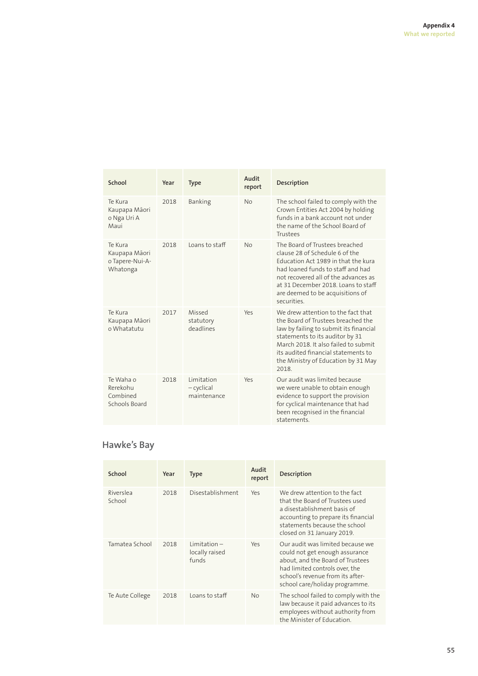| School                                                  | Year | <b>Type</b>                             | Audit<br>report | Description                                                                                                                                                                                                                                                                          |
|---------------------------------------------------------|------|-----------------------------------------|-----------------|--------------------------------------------------------------------------------------------------------------------------------------------------------------------------------------------------------------------------------------------------------------------------------------|
| Te Kura<br>Kaupapa Māori<br>o Nga Uri A<br>Maui         | 2018 | <b>Banking</b>                          | <b>No</b>       | The school failed to comply with the<br>Crown Entities Act 2004 by holding<br>funds in a bank account not under<br>the name of the School Board of<br>Trustees                                                                                                                       |
| Te Kura<br>Kaupapa Māori<br>o Tapere-Nui-A-<br>Whatonga | 2018 | Loans to staff                          | <b>No</b>       | The Board of Trustees breached<br>clause 28 of Schedule 6 of the<br>Education Act 1989 in that the kura<br>had loaned funds to staff and had<br>not recovered all of the advances as<br>at 31 December 2018. Loans to staff<br>are deemed to be acquisitions of<br>securities.       |
| Te Kura<br>Kaupapa Māori<br>o Whatatutu                 | 2017 | Missed<br>statutory<br>deadlines        | Yes             | We drew attention to the fact that<br>the Board of Trustees breached the<br>law by failing to submit its financial<br>statements to its auditor by 31<br>March 2018. It also failed to submit<br>its audited financial statements to<br>the Ministry of Education by 31 May<br>2018. |
| Te Waha o<br>Rerekohu<br>Combined<br>Schools Board      | 2018 | Limitation<br>- cyclical<br>maintenance | Y <sub>ρς</sub> | Our audit was limited because<br>we were unable to obtain enough<br>evidence to support the provision<br>for cyclical maintenance that had<br>been recognised in the financial<br>statements                                                                                         |

# **Hawke's Bay**

| School              | Year | <b>Type</b>                               | Audit<br>report | Description                                                                                                                                                                                                    |
|---------------------|------|-------------------------------------------|-----------------|----------------------------------------------------------------------------------------------------------------------------------------------------------------------------------------------------------------|
| Riverslea<br>School | 2018 | Disestablishment                          | Yes             | We drew attention to the fact<br>that the Board of Trustees used<br>a disestablishment basis of<br>accounting to prepare its financial<br>statements because the school<br>closed on 31 January 2019.          |
| Tamatea School      | 2018 | $Limitation -$<br>locally raised<br>funds | Yes             | Our audit was limited because we<br>could not get enough assurance<br>about, and the Board of Trustees<br>had limited controls over, the<br>school's revenue from its after-<br>school care/holiday programme. |
| Te Aute College     | 2018 | Loans to staff                            | <b>No</b>       | The school failed to comply with the<br>law because it paid advances to its<br>employees without authority from<br>the Minister of Education.                                                                  |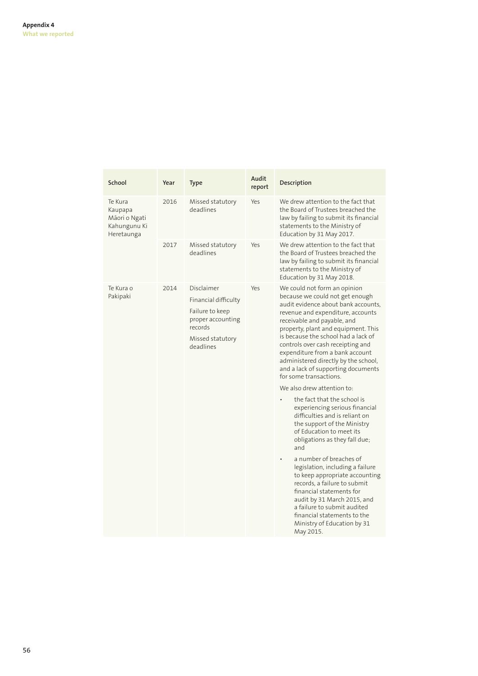| School                                                            | Year | Type                                                                                                                   | Audit<br>report | Description                                                                                                                                                                                                                                                                                                                                                                                                                                                                                                                                                                                                                                                                                                                                                                                                                                                                                                                                                                       |
|-------------------------------------------------------------------|------|------------------------------------------------------------------------------------------------------------------------|-----------------|-----------------------------------------------------------------------------------------------------------------------------------------------------------------------------------------------------------------------------------------------------------------------------------------------------------------------------------------------------------------------------------------------------------------------------------------------------------------------------------------------------------------------------------------------------------------------------------------------------------------------------------------------------------------------------------------------------------------------------------------------------------------------------------------------------------------------------------------------------------------------------------------------------------------------------------------------------------------------------------|
| Te Kura<br>Kaupapa<br>Māori o Ngati<br>Kahungunu Ki<br>Heretaunga | 2016 | Missed statutory<br>deadlines                                                                                          | Yes             | We drew attention to the fact that<br>the Board of Trustees breached the<br>law by failing to submit its financial<br>statements to the Ministry of<br>Education by 31 May 2017.                                                                                                                                                                                                                                                                                                                                                                                                                                                                                                                                                                                                                                                                                                                                                                                                  |
|                                                                   | 2017 | Missed statutory<br>deadlines                                                                                          | Yes             | We drew attention to the fact that<br>the Board of Trustees breached the<br>law by failing to submit its financial<br>statements to the Ministry of<br>Education by 31 May 2018.                                                                                                                                                                                                                                                                                                                                                                                                                                                                                                                                                                                                                                                                                                                                                                                                  |
| Te Kura o<br>Pakipaki                                             | 2014 | Disclaimer<br>Financial difficulty<br>Failure to keep<br>proper accounting<br>records<br>Missed statutory<br>deadlines | Yes             | We could not form an opinion<br>because we could not get enough<br>audit evidence about bank accounts,<br>revenue and expenditure, accounts<br>receivable and payable, and<br>property, plant and equipment. This<br>is because the school had a lack of<br>controls over cash receipting and<br>expenditure from a bank account<br>administered directly by the school,<br>and a lack of supporting documents<br>for some transactions<br>We also drew attention to:<br>the fact that the school is<br>experiencing serious financial<br>difficulties and is reliant on<br>the support of the Ministry<br>of Education to meet its<br>obligations as they fall due;<br>and<br>a number of breaches of<br>legislation, including a failure<br>to keep appropriate accounting<br>records, a failure to submit<br>financial statements for<br>audit by 31 March 2015, and<br>a failure to submit audited<br>financial statements to the<br>Ministry of Education by 31<br>May 2015. |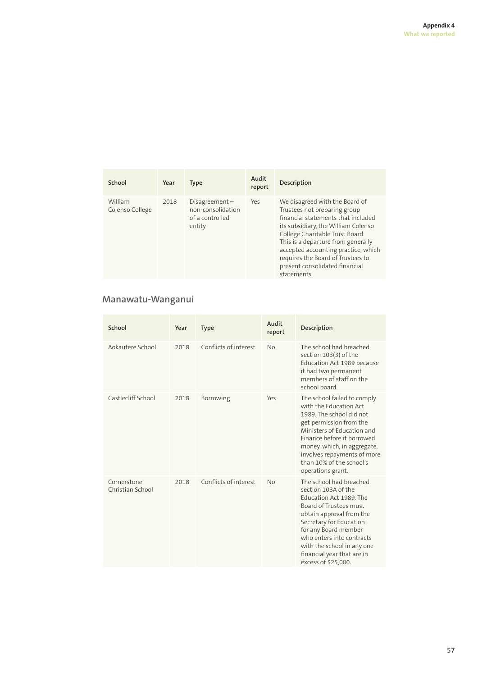| School                     | Year | <b>Type</b>                                                        | Audit<br>report | <b>Description</b>                                                                                                                                                                                                                                                                                                                                |
|----------------------------|------|--------------------------------------------------------------------|-----------------|---------------------------------------------------------------------------------------------------------------------------------------------------------------------------------------------------------------------------------------------------------------------------------------------------------------------------------------------------|
| William<br>Colenso College | 2018 | $Disagreement -$<br>non-consolidation<br>of a controlled<br>entity | Yes             | We disagreed with the Board of<br>Trustees not preparing group<br>financial statements that included<br>its subsidiary, the William Colenso<br>College Charitable Trust Board.<br>This is a departure from generally<br>accepted accounting practice, which<br>requires the Board of Trustees to<br>present consolidated financial<br>statements. |

# **Manawatu-Wanganui**

| School                          | Year | <b>Type</b>           | Audit<br>report | Description                                                                                                                                                                                                                                                                                        |
|---------------------------------|------|-----------------------|-----------------|----------------------------------------------------------------------------------------------------------------------------------------------------------------------------------------------------------------------------------------------------------------------------------------------------|
| Aokautere School                | 2018 | Conflicts of interest | <b>No</b>       | The school had breached<br>section 103(3) of the<br>Education Act 1989 because<br>it had two permanent<br>members of staff on the<br>school board.                                                                                                                                                 |
| Castlecliff School              | 2018 | Borrowing             | Yes             | The school failed to comply<br>with the Education Act<br>1989. The school did not<br>get permission from the<br>Ministers of Education and<br>Finance before it borrowed<br>money, which, in aggregate,<br>involves repayments of more<br>than 10% of the school's<br>operations grant.            |
| Cornerstone<br>Christian School | 2018 | Conflicts of interest | <b>No</b>       | The school had breached<br>section 103A of the<br>Education Act 1989. The<br>Board of Trustees must<br>obtain approval from the<br>Secretary for Education<br>for any Board member<br>who enters into contracts<br>with the school in any one<br>financial year that are in<br>excess of \$25,000. |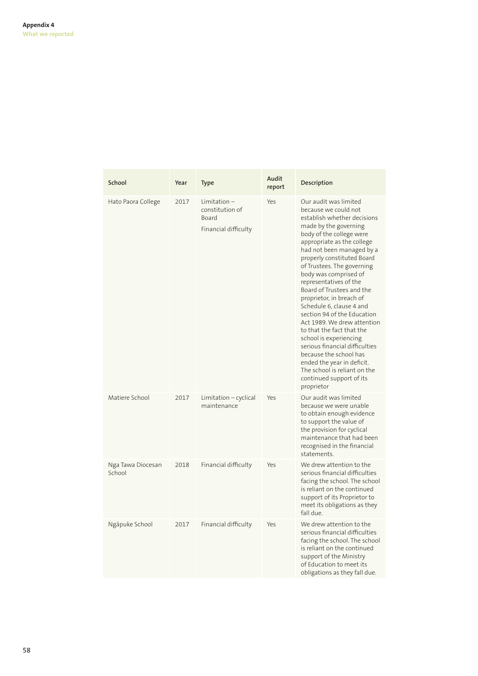| School                      | Year | Type                                                               | Audit<br>report | Description                                                                                                                                                                                                                                                                                                                                                                                                                                                                                                                                                                                                                                                                               |
|-----------------------------|------|--------------------------------------------------------------------|-----------------|-------------------------------------------------------------------------------------------------------------------------------------------------------------------------------------------------------------------------------------------------------------------------------------------------------------------------------------------------------------------------------------------------------------------------------------------------------------------------------------------------------------------------------------------------------------------------------------------------------------------------------------------------------------------------------------------|
| Hato Paora College          | 2017 | $Limitation -$<br>constitution of<br>Board<br>Financial difficulty | Yes             | Our audit was limited<br>because we could not<br>establish whether decisions<br>made by the governing<br>body of the college were<br>appropriate as the college<br>had not been managed by a<br>properly constituted Board<br>of Trustees. The governing<br>body was comprised of<br>representatives of the<br>Board of Trustees and the<br>proprietor, in breach of<br>Schedule 6, clause 4 and<br>section 94 of the Education<br>Act 1989. We drew attention<br>to that the fact that the<br>school is experiencing<br>serious financial difficulties<br>because the school has<br>ended the year in deficit.<br>The school is reliant on the<br>continued support of its<br>proprietor |
| Matiere School              | 2017 | Limitation - cyclical<br>maintenance                               | Yes             | Our audit was limited<br>because we were unable<br>to obtain enough evidence<br>to support the value of<br>the provision for cyclical<br>maintenance that had been<br>recognised in the financial<br>statements.                                                                                                                                                                                                                                                                                                                                                                                                                                                                          |
| Nga Tawa Diocesan<br>School | 2018 | Financial difficulty                                               | Yes             | We drew attention to the<br>serious financial difficulties<br>facing the school. The school<br>is reliant on the continued<br>support of its Proprietor to<br>meet its obligations as they<br>fall due.                                                                                                                                                                                                                                                                                                                                                                                                                                                                                   |
| Ngāpuke School              | 2017 | Financial difficulty                                               | Yes             | We drew attention to the<br>serious financial difficulties<br>facing the school. The school<br>is reliant on the continued<br>support of the Ministry<br>of Education to meet its<br>obligations as they fall due.                                                                                                                                                                                                                                                                                                                                                                                                                                                                        |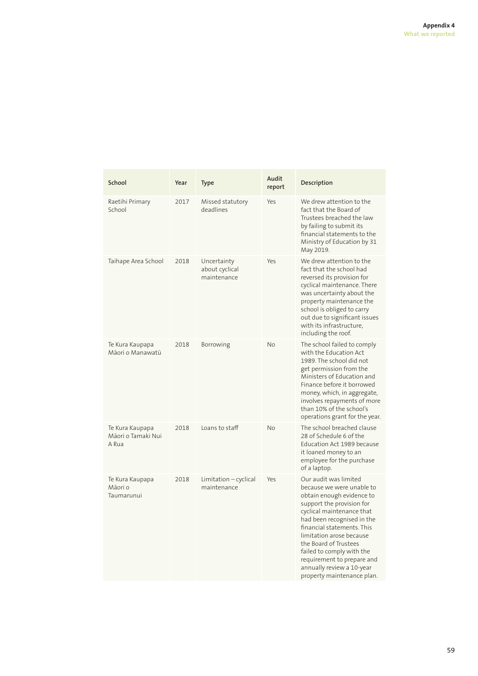| School                                         | Year | <b>Type</b>                                  | Audit<br>report | Description                                                                                                                                                                                                                                                                                                                                                                      |
|------------------------------------------------|------|----------------------------------------------|-----------------|----------------------------------------------------------------------------------------------------------------------------------------------------------------------------------------------------------------------------------------------------------------------------------------------------------------------------------------------------------------------------------|
| Raetihi Primary<br>School                      | 2017 | Missed statutory<br>deadlines                | Yes             | We drew attention to the<br>fact that the Board of<br>Trustees breached the law<br>by failing to submit its<br>financial statements to the<br>Ministry of Education by 31<br>May 2019.                                                                                                                                                                                           |
| Taihape Area School                            | 2018 | Uncertainty<br>about cyclical<br>maintenance | Yes             | We drew attention to the<br>fact that the school had<br>reversed its provision for<br>cyclical maintenance. There<br>was uncertainty about the<br>property maintenance the<br>school is obliged to carry<br>out due to significant issues<br>with its infrastructure.<br>including the roof.                                                                                     |
| Te Kura Kaupapa<br>Māori o Manawatū            | 2018 | Borrowing                                    | <b>No</b>       | The school failed to comply<br>with the Education Act<br>1989. The school did not<br>get permission from the<br>Ministers of Education and<br>Finance before it borrowed<br>money, which, in aggregate,<br>involves repayments of more<br>than 10% of the school's<br>operations grant for the year.                                                                             |
| Te Kura Kaupapa<br>Māori o Tamaki Nui<br>A Rua | 2018 | Loans to staff                               | <b>No</b>       | The school breached clause<br>28 of Schedule 6 of the<br>Education Act 1989 because<br>it loaned money to an<br>employee for the purchase<br>of a laptop.                                                                                                                                                                                                                        |
| Te Kura Kaupapa<br>Māori o<br>Taumarunui       | 2018 | Limitation - cyclical<br>maintenance         | Yes             | Our audit was limited<br>because we were unable to<br>obtain enough evidence to<br>support the provision for<br>cyclical maintenance that<br>had been recognised in the<br>financial statements. This<br>limitation arose because<br>the Board of Trustees<br>failed to comply with the<br>requirement to prepare and<br>annually review a 10-year<br>property maintenance plan. |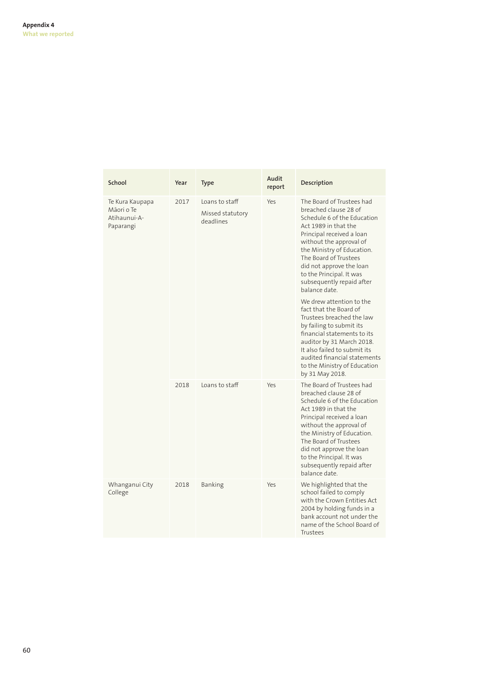| School                                                     | Year | Type                                            | Audit<br>report | Description                                                                                                                                                                                                                                                                                                                                                                                                                                                                                                                                                                                                                  |
|------------------------------------------------------------|------|-------------------------------------------------|-----------------|------------------------------------------------------------------------------------------------------------------------------------------------------------------------------------------------------------------------------------------------------------------------------------------------------------------------------------------------------------------------------------------------------------------------------------------------------------------------------------------------------------------------------------------------------------------------------------------------------------------------------|
| Te Kura Kaupapa<br>Mãori o Te<br>Atihaunui-A-<br>Paparangi | 2017 | Loans to staff<br>Missed statutory<br>deadlines | Yes             | The Board of Trustees had<br>breached clause 28 of<br>Schedule 6 of the Education<br>Act 1989 in that the<br>Principal received a loan<br>without the approval of<br>the Ministry of Education.<br>The Board of Trustees<br>did not approve the loan<br>to the Principal. It was<br>subsequently repaid after<br>balance date.<br>We drew attention to the<br>fact that the Board of<br>Trustees breached the law<br>by failing to submit its<br>financial statements to its<br>auditor by 31 March 2018.<br>It also failed to submit its<br>audited financial statements<br>to the Ministry of Education<br>by 31 May 2018. |
|                                                            | 2018 | Loans to staff                                  | Yes             | The Board of Trustees had<br>breached clause 28 of<br>Schedule 6 of the Education<br>Act 1989 in that the<br>Principal received a loan<br>without the approval of<br>the Ministry of Education.<br>The Board of Trustees<br>did not approve the loan<br>to the Principal. It was<br>subsequently repaid after<br>balance date.                                                                                                                                                                                                                                                                                               |
| Whanganui City<br>College                                  | 2018 | Banking                                         | Yes             | We highlighted that the<br>school failed to comply<br>with the Crown Entities Act<br>2004 by holding funds in a<br>bank account not under the<br>name of the School Board of<br>Trustees                                                                                                                                                                                                                                                                                                                                                                                                                                     |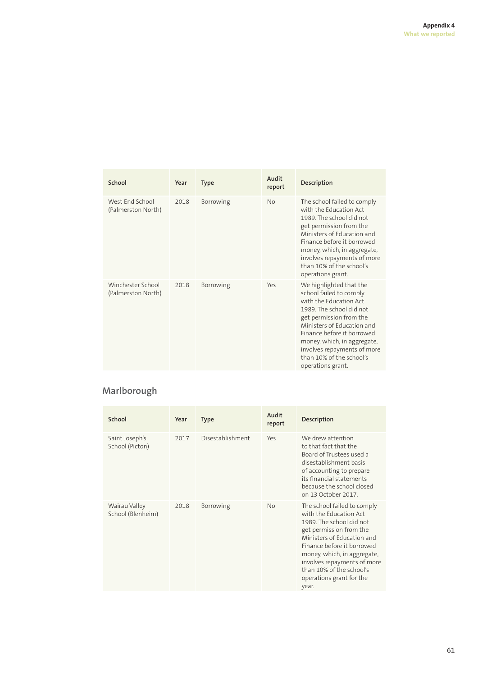| School                                  | Year | <b>Type</b> | Audit<br>report | Description                                                                                                                                                                                                                                                                                                    |
|-----------------------------------------|------|-------------|-----------------|----------------------------------------------------------------------------------------------------------------------------------------------------------------------------------------------------------------------------------------------------------------------------------------------------------------|
| West End School<br>(Palmerston North)   | 2018 | Borrowing   | <b>No</b>       | The school failed to comply<br>with the Education Act<br>1989. The school did not<br>get permission from the<br>Ministers of Education and<br>Finance before it borrowed<br>money, which, in aggregate,<br>involves repayments of more<br>than 10% of the school's<br>operations grant.                        |
| Winchester School<br>(Palmerston North) | 2018 | Borrowing   | Yes             | We highlighted that the<br>school failed to comply<br>with the Education Act<br>1989. The school did not<br>get permission from the<br>Ministers of Education and<br>Finance before it borrowed<br>money, which, in aggregate,<br>involves repayments of more<br>than 10% of the school's<br>operations grant. |

# **Marlborough**

| School                             | Year | <b>Type</b>      | Audit<br>report | Description                                                                                                                                                                                                                                                                                             |
|------------------------------------|------|------------------|-----------------|---------------------------------------------------------------------------------------------------------------------------------------------------------------------------------------------------------------------------------------------------------------------------------------------------------|
| Saint Joseph's<br>School (Picton)  | 2017 | Disestablishment | Yes             | We drew attention<br>to that fact that the<br>Board of Trustees used a<br>disestablishment basis<br>of accounting to prepare<br>its financial statements<br>because the school closed<br>on 13 October 2017.                                                                                            |
| Wairau Valley<br>School (Blenheim) | 2018 | <b>Borrowing</b> | No              | The school failed to comply<br>with the Education Act<br>1989. The school did not<br>get permission from the<br>Ministers of Education and<br>Finance before it borrowed<br>money, which, in aggregate,<br>involves repayments of more<br>than 10% of the school's<br>operations grant for the<br>year. |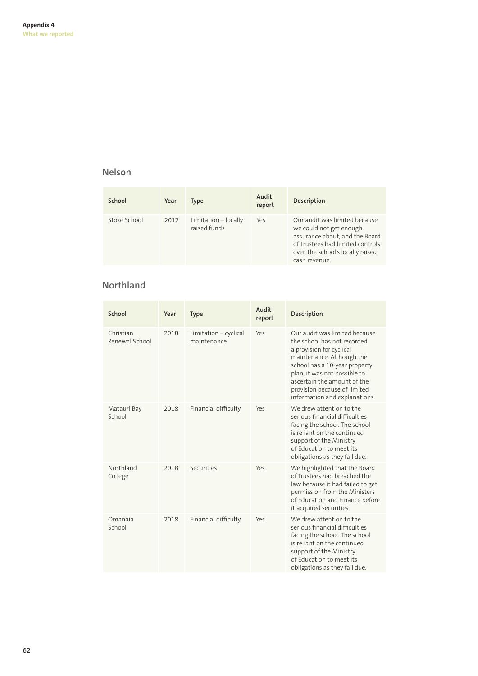### **Nelson**

| School       | Year | Type                                 | Audit<br>report | Description                                                                                                                                                                          |
|--------------|------|--------------------------------------|-----------------|--------------------------------------------------------------------------------------------------------------------------------------------------------------------------------------|
| Stoke School | 2017 | Limitation - locally<br>raised funds | Yes             | Our audit was limited because<br>we could not get enough<br>assurance about, and the Board<br>of Trustees had limited controls<br>over, the school's locally raised<br>cash revenue. |

# **Northland**

| School                      | Year | <b>Type</b>                          | Audit<br>report | Description                                                                                                                                                                                                                                                                            |
|-----------------------------|------|--------------------------------------|-----------------|----------------------------------------------------------------------------------------------------------------------------------------------------------------------------------------------------------------------------------------------------------------------------------------|
| Christian<br>Renewal School | 2018 | Limitation - cyclical<br>maintenance | Yes             | Our audit was limited because<br>the school has not recorded<br>a provision for cyclical<br>maintenance. Although the<br>school has a 10-year property<br>plan, it was not possible to<br>ascertain the amount of the<br>provision because of limited<br>information and explanations. |
| Matauri Bay<br>School       | 2018 | Financial difficulty                 | Yes             | We drew attention to the<br>serious financial difficulties<br>facing the school. The school<br>is reliant on the continued<br>support of the Ministry<br>of Education to meet its<br>obligations as they fall due.                                                                     |
| Northland<br>College        | 2018 | Securities                           | Yes             | We highlighted that the Board<br>of Trustees had breached the<br>law because it had failed to get<br>permission from the Ministers<br>of Education and Finance before<br>it acquired securities.                                                                                       |
| Omanaja<br>School           | 2018 | Financial difficulty                 | Yes             | We drew attention to the<br>serious financial difficulties<br>facing the school. The school<br>is reliant on the continued<br>support of the Ministry<br>of Education to meet its<br>obligations as they fall due.                                                                     |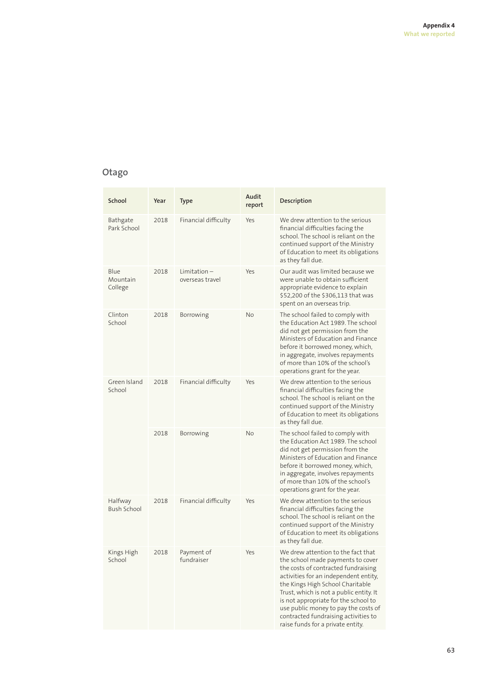# **Otago**

| School                        | Year | <b>Type</b>                       | Audit<br>report | Description                                                                                                                                                                                                                                                                                                                                                                                         |
|-------------------------------|------|-----------------------------------|-----------------|-----------------------------------------------------------------------------------------------------------------------------------------------------------------------------------------------------------------------------------------------------------------------------------------------------------------------------------------------------------------------------------------------------|
| Bathgate<br>Park School       | 2018 | Financial difficulty              | Yes             | We drew attention to the serious<br>financial difficulties facing the<br>school. The school is reliant on the<br>continued support of the Ministry<br>of Education to meet its obligations<br>as they fall due.                                                                                                                                                                                     |
| Blue<br>Mountain<br>College   | 2018 | $Limitation -$<br>overseas travel | Yes             | Our audit was limited because we<br>were unable to obtain sufficient<br>appropriate evidence to explain<br>\$52,200 of the \$306,113 that was<br>spent on an overseas trip.                                                                                                                                                                                                                         |
| Clinton<br>School             | 2018 | Borrowing                         | <b>No</b>       | The school failed to comply with<br>the Education Act 1989. The school<br>did not get permission from the<br>Ministers of Education and Finance<br>before it borrowed money, which,<br>in aggregate, involves repayments<br>of more than 10% of the school's<br>operations grant for the year.                                                                                                      |
| Green Island<br>School        | 2018 | Financial difficulty              | Yes             | We drew attention to the serious<br>financial difficulties facing the<br>school. The school is reliant on the<br>continued support of the Ministry<br>of Education to meet its obligations<br>as they fall due.                                                                                                                                                                                     |
|                               | 2018 | Borrowing                         | <b>No</b>       | The school failed to comply with<br>the Education Act 1989. The school<br>did not get permission from the<br>Ministers of Education and Finance<br>before it borrowed money, which,<br>in aggregate, involves repayments<br>of more than 10% of the school's<br>operations grant for the year.                                                                                                      |
| Halfway<br><b>Bush School</b> | 2018 | Financial difficulty              | Yes             | We drew attention to the serious<br>financial difficulties facing the<br>school. The school is reliant on the<br>continued support of the Ministry<br>of Education to meet its obligations<br>as they fall due.                                                                                                                                                                                     |
| Kings High<br>School          | 2018 | Payment of<br>fundraiser          | Yes             | We drew attention to the fact that<br>the school made payments to cover<br>the costs of contracted fundraising<br>activities for an independent entity,<br>the Kings High School Charitable<br>Trust, which is not a public entity. It<br>is not appropriate for the school to<br>use public money to pay the costs of<br>contracted fundraising activities to<br>raise funds for a private entity. |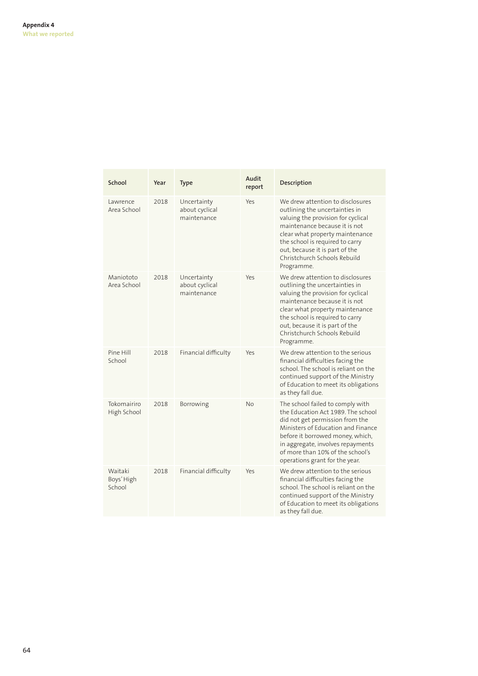| School                          | Year | <b>Type</b>                                  | Audit<br>report | Description                                                                                                                                                                                                                                                                                     |
|---------------------------------|------|----------------------------------------------|-----------------|-------------------------------------------------------------------------------------------------------------------------------------------------------------------------------------------------------------------------------------------------------------------------------------------------|
| Lawrence<br>Area School         | 2018 | Uncertainty<br>about cyclical<br>maintenance | Yes             | We drew attention to disclosures<br>outlining the uncertainties in<br>valuing the provision for cyclical<br>maintenance because it is not<br>clear what property maintenance<br>the school is required to carry<br>out, because it is part of the<br>Christchurch Schools Rebuild<br>Programme. |
| Maniototo<br>Area School        | 2018 | Uncertainty<br>about cyclical<br>maintenance | Yes             | We drew attention to disclosures<br>outlining the uncertainties in<br>valuing the provision for cyclical<br>maintenance because it is not<br>clear what property maintenance<br>the school is required to carry<br>out, because it is part of the<br>Christchurch Schools Rebuild<br>Programme. |
| Pine Hill<br>School             | 2018 | Financial difficulty                         | Yes             | We drew attention to the serious<br>financial difficulties facing the<br>school. The school is reliant on the<br>continued support of the Ministry<br>of Education to meet its obligations<br>as they fall due.                                                                                 |
| Tokomairiro<br>High School      | 2018 | Borrowing                                    | No              | The school failed to comply with<br>the Education Act 1989. The school<br>did not get permission from the<br>Ministers of Education and Finance<br>before it borrowed money, which,<br>in aggregate, involves repayments<br>of more than 10% of the school's<br>operations grant for the year.  |
| Waitaki<br>Boys' High<br>School | 2018 | Financial difficulty                         | Yes             | We drew attention to the serious<br>financial difficulties facing the<br>school. The school is reliant on the<br>continued support of the Ministry<br>of Education to meet its obligations<br>as they fall due.                                                                                 |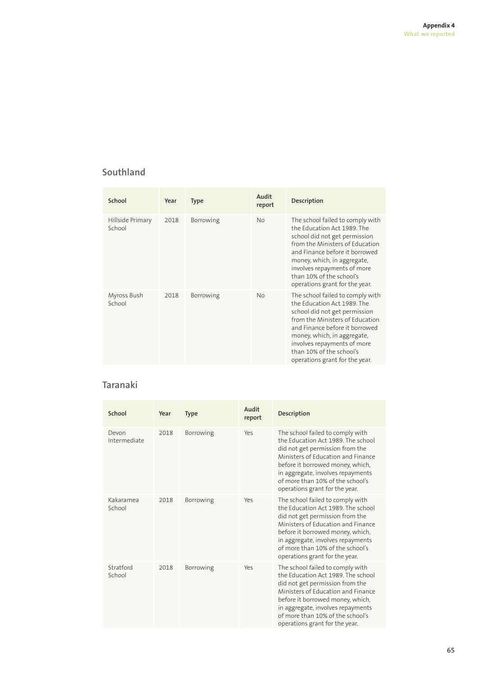# **Southland**

| School                     | Year | <b>Type</b> | Audit<br>report | <b>Description</b>                                                                                                                                                                                                                                                                                |
|----------------------------|------|-------------|-----------------|---------------------------------------------------------------------------------------------------------------------------------------------------------------------------------------------------------------------------------------------------------------------------------------------------|
| Hillside Primary<br>School | 2018 | Borrowing   | <b>No</b>       | The school failed to comply with<br>the Education Act 1989. The<br>school did not get permission<br>from the Ministers of Education<br>and Finance before it borrowed<br>money, which, in aggregate,<br>involves repayments of more<br>than 10% of the school's<br>operations grant for the year. |
| Myross Bush<br>School      | 2018 | Borrowing   | <b>No</b>       | The school failed to comply with<br>the Education Act 1989. The<br>school did not get permission<br>from the Ministers of Education<br>and Finance before it borrowed<br>money, which, in aggregate,<br>involves repayments of more<br>than 10% of the school's<br>operations grant for the year. |

# **Taranaki**

| School                | Year | <b>Type</b> | Audit<br>report | Description                                                                                                                                                                                                                                                                                    |
|-----------------------|------|-------------|-----------------|------------------------------------------------------------------------------------------------------------------------------------------------------------------------------------------------------------------------------------------------------------------------------------------------|
| Devon<br>Intermediate | 2018 | Borrowing   | Yes             | The school failed to comply with<br>the Education Act 1989. The school<br>did not get permission from the<br>Ministers of Education and Finance<br>before it borrowed money, which,<br>in aggregate, involves repayments<br>of more than 10% of the school's<br>operations grant for the year. |
| Kakaramea<br>School   | 2018 | Borrowing   | Yes             | The school failed to comply with<br>the Education Act 1989. The school<br>did not get permission from the<br>Ministers of Education and Finance<br>before it borrowed money, which,<br>in aggregate, involves repayments<br>of more than 10% of the school's<br>operations grant for the year. |
| Stratford<br>School   | 2018 | Borrowing   | Yes             | The school failed to comply with<br>the Education Act 1989. The school<br>did not get permission from the<br>Ministers of Education and Finance<br>before it borrowed money, which,<br>in aggregate, involves repayments<br>of more than 10% of the school's<br>operations grant for the year. |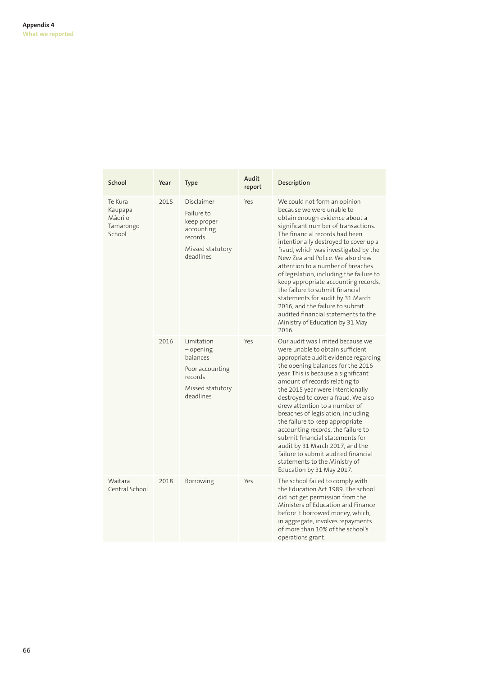| School                                               | Year | <b>Type</b>                                                                                                | Audit<br>report | Description                                                                                                                                                                                                                                                                                                                                                                                                                                                                                                                                                                                                                     |
|------------------------------------------------------|------|------------------------------------------------------------------------------------------------------------|-----------------|---------------------------------------------------------------------------------------------------------------------------------------------------------------------------------------------------------------------------------------------------------------------------------------------------------------------------------------------------------------------------------------------------------------------------------------------------------------------------------------------------------------------------------------------------------------------------------------------------------------------------------|
| Te Kura<br>Kaupapa<br>Māori o<br>Tamarongo<br>School | 2015 | Disclaimer<br>Failure to<br>keep proper<br>accounting<br>records<br>Missed statutory<br>deadlines          | Yes             | We could not form an opinion<br>because we were unable to<br>obtain enough evidence about a<br>significant number of transactions.<br>The financial records had been<br>intentionally destroyed to cover up a<br>fraud, which was investigated by the<br>New Zealand Police. We also drew<br>attention to a number of breaches<br>of legislation, including the failure to<br>keep appropriate accounting records,<br>the failure to submit financial<br>statements for audit by 31 March<br>2016, and the failure to submit<br>audited financial statements to the<br>Ministry of Education by 31 May<br>2016.                 |
|                                                      | 2016 | Limitation<br>$-\omega$ opening<br>balances<br>Poor accounting<br>records<br>Missed statutory<br>deadlines | Yes             | Our audit was limited because we<br>were unable to obtain sufficient<br>appropriate audit evidence regarding<br>the opening balances for the 2016<br>year. This is because a significant<br>amount of records relating to<br>the 2015 year were intentionally<br>destroyed to cover a fraud. We also<br>drew attention to a number of<br>breaches of legislation, including<br>the failure to keep appropriate<br>accounting records, the failure to<br>submit financial statements for<br>audit by 31 March 2017, and the<br>failure to submit audited financial<br>statements to the Ministry of<br>Education by 31 May 2017. |
| Waitara<br>Central School                            | 2018 | Borrowing                                                                                                  | Yes             | The school failed to comply with<br>the Education Act 1989. The school<br>did not get permission from the<br>Ministers of Education and Finance<br>before it borrowed money, which,<br>in aggregate, involves repayments<br>of more than 10% of the school's<br>operations grant.                                                                                                                                                                                                                                                                                                                                               |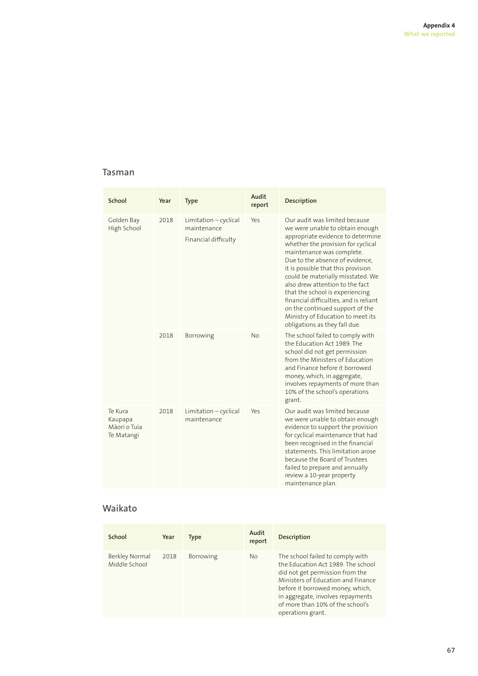### **Tasman**

| School                                           | Year | <b>Type</b>                                                  | Audit<br>report | Description                                                                                                                                                                                                                                                                                                                                                                                                                                                                                                     |
|--------------------------------------------------|------|--------------------------------------------------------------|-----------------|-----------------------------------------------------------------------------------------------------------------------------------------------------------------------------------------------------------------------------------------------------------------------------------------------------------------------------------------------------------------------------------------------------------------------------------------------------------------------------------------------------------------|
| Golden Bay<br>High School                        | 2018 | Limitation - cyclical<br>maintenance<br>Financial difficulty | Yes             | Our audit was limited because<br>we were unable to obtain enough<br>appropriate evidence to determine<br>whether the provision for cyclical<br>maintenance was complete.<br>Due to the absence of evidence,<br>it is possible that this provision<br>could be materially misstated. We<br>also drew attention to the fact<br>that the school is experiencing<br>financial difficulties, and is reliant<br>on the continued support of the<br>Ministry of Education to meet its<br>obligations as they fall due. |
|                                                  | 2018 | Borrowing                                                    | Νo              | The school failed to comply with<br>the Education Act 1989. The<br>school did not get permission<br>from the Ministers of Education<br>and Finance before it borrowed<br>money, which, in aggregate,<br>involves repayments of more than<br>10% of the school's operations<br>grant.                                                                                                                                                                                                                            |
| Te Kura<br>Kaupapa<br>Mãori o Tuia<br>Te Matangi | 2018 | Limitation - cyclical<br>maintenance                         | Yes             | Our audit was limited because<br>we were unable to obtain enough<br>evidence to support the provision<br>for cyclical maintenance that had<br>been recognised in the financial<br>statements. This limitation arose<br>because the Board of Trustees<br>failed to prepare and annually<br>review a 10-year property<br>maintenance plan.                                                                                                                                                                        |

### **Waikato**

| School                          | Year | Type             | Audit<br>report | <b>Description</b>                                                                                                                                                                                                                                                                |
|---------------------------------|------|------------------|-----------------|-----------------------------------------------------------------------------------------------------------------------------------------------------------------------------------------------------------------------------------------------------------------------------------|
| Berkley Normal<br>Middle School | 2018 | <b>Borrowing</b> | No              | The school failed to comply with<br>the Education Act 1989. The school<br>did not get permission from the<br>Ministers of Education and Finance<br>before it borrowed money, which,<br>in aggregate, involves repayments<br>of more than 10% of the school's<br>operations grant. |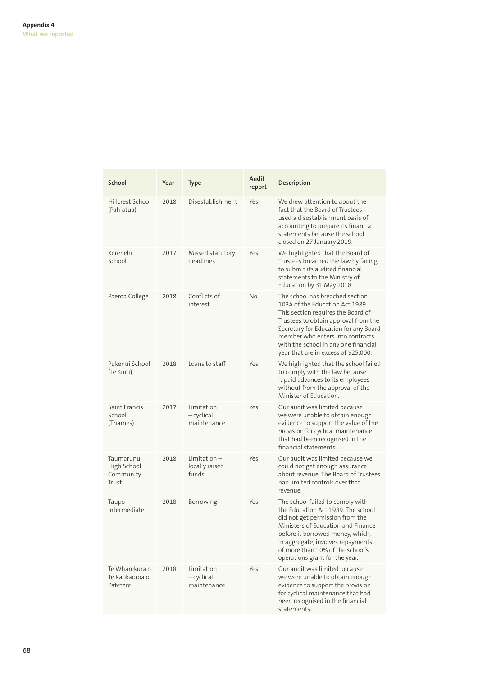| School                                          | Year | Type                                     | Audit<br>report | Description                                                                                                                                                                                                                                                                                                   |
|-------------------------------------------------|------|------------------------------------------|-----------------|---------------------------------------------------------------------------------------------------------------------------------------------------------------------------------------------------------------------------------------------------------------------------------------------------------------|
| Hillcrest School<br>(Pahiatua)                  | 2018 | Disestablishment                         | Yes             | We drew attention to about the<br>fact that the Board of Trustees<br>used a disestablishment basis of<br>accounting to prepare its financial<br>statements because the school<br>closed on 27 January 2019.                                                                                                   |
| Kerepehi<br>School                              | 2017 | Missed statutory<br>deadlines            | Yes             | We highlighted that the Board of<br>Trustees breached the law by failing<br>to submit its audited financial<br>statements to the Ministry of<br>Education by 31 May 2018.                                                                                                                                     |
| Paeroa College                                  | 2018 | Conflicts of<br>interest                 | <b>No</b>       | The school has breached section<br>103A of the Education Act 1989.<br>This section requires the Board of<br>Trustees to obtain approval from the<br>Secretary for Education for any Board<br>member who enters into contracts<br>with the school in any one financial<br>year that are in excess of \$25,000. |
| Pukenui School<br>(Te Kuiti)                    | 2018 | Loans to staff                           | Yes             | We highlighted that the school failed<br>to comply with the law because<br>it paid advances to its employees<br>without from the approval of the<br>Minister of Education.                                                                                                                                    |
| Saint Francis<br>School<br>(Thames)             | 2017 | Limitation<br>— cyclical<br>maintenance  | Yes             | Our audit was limited because<br>we were unable to obtain enough<br>evidence to support the value of the<br>provision for cyclical maintenance<br>that had been recognised in the<br>financial statements.                                                                                                    |
| Taumarunui<br>High School<br>Community<br>Trust | 2018 | Limitation –<br>locally raised<br>funds  | Yes             | Our audit was limited because we<br>could not get enough assurance<br>about revenue. The Board of Trustees<br>had limited controls over that<br>revenue.                                                                                                                                                      |
| Taupo<br>Intermediate                           | 2018 | Borrowing                                | Yes             | The school failed to comply with<br>the Education Act 1989. The school<br>did not get permission from the<br>Ministers of Education and Finance<br>before it borrowed money, which,<br>in aggregate, involves repayments<br>of more than 10% of the school's<br>operations grant for the year.                |
| Te Wharekura o<br>Te Kaokaoroa o<br>Patetere    | 2018 | Limitation<br>$-cyclical$<br>maintenance | Yes             | Our audit was limited because<br>we were unable to obtain enough<br>evidence to support the provision<br>for cyclical maintenance that had<br>been recognised in the financial<br>statements.                                                                                                                 |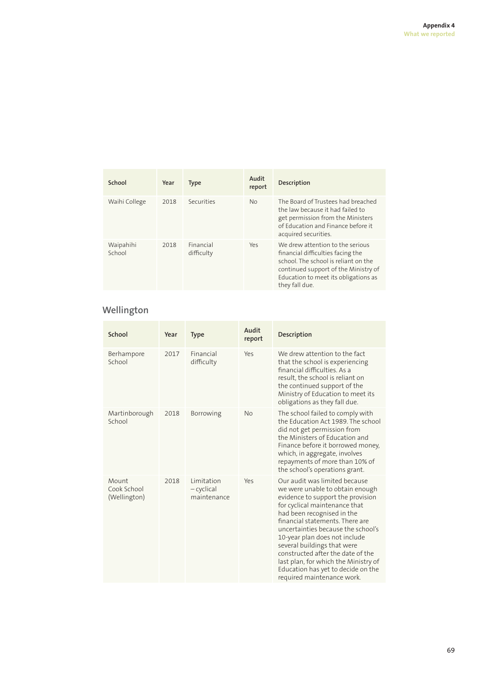| School              | Year | <b>Type</b>             | Audit<br>report | <b>Description</b>                                                                                                                                                                                              |
|---------------------|------|-------------------------|-----------------|-----------------------------------------------------------------------------------------------------------------------------------------------------------------------------------------------------------------|
| Waihi College       | 2018 | Securities              | <b>No</b>       | The Board of Trustees had breached<br>the law because it had failed to<br>get permission from the Ministers<br>of Education and Finance before it<br>acquired securities.                                       |
| Waipahihi<br>School | 2018 | Financial<br>difficulty | Yes             | We drew attention to the serious<br>financial difficulties facing the<br>school. The school is reliant on the<br>continued support of the Ministry of<br>Education to meet its obligations as<br>they fall due. |

### **Wellington**

| School                               | Year | <b>Type</b>                               | Audit<br>report | Description                                                                                                                                                                                                                                                                                                                                                                                                                                                    |
|--------------------------------------|------|-------------------------------------------|-----------------|----------------------------------------------------------------------------------------------------------------------------------------------------------------------------------------------------------------------------------------------------------------------------------------------------------------------------------------------------------------------------------------------------------------------------------------------------------------|
| Berhampore<br>School                 | 2017 | Financial<br>difficulty                   | Yes             | We drew attention to the fact<br>that the school is experiencing<br>financial difficulties. As a<br>result, the school is reliant on<br>the continued support of the<br>Ministry of Education to meet its<br>obligations as they fall due.                                                                                                                                                                                                                     |
| Martinborough<br>School              | 2018 | Borrowing                                 | <b>No</b>       | The school failed to comply with<br>the Education Act 1989. The school<br>did not get permission from<br>the Ministers of Education and<br>Finance before it borrowed money,<br>which, in aggregate, involves<br>repayments of more than 10% of<br>the school's operations grant.                                                                                                                                                                              |
| Mount<br>Cook School<br>(Wellington) | 2018 | Limitation<br>$-$ cyclical<br>maintenance | Yes             | Our audit was limited because<br>we were unable to obtain enough<br>evidence to support the provision<br>for cyclical maintenance that<br>had been recognised in the<br>financial statements. There are<br>uncertainties because the school's<br>10-year plan does not include<br>several buildings that were<br>constructed after the date of the<br>last plan, for which the Ministry of<br>Education has yet to decide on the<br>required maintenance work. |